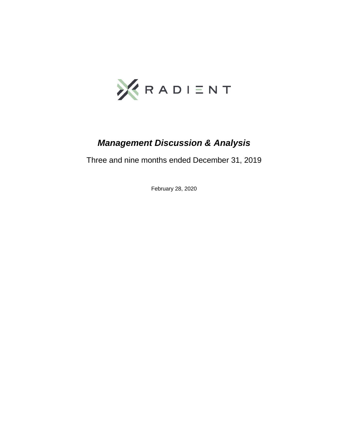

# *Management Discussion & Analysis*

Three and nine months ended December 31, 2019

February 28, 2020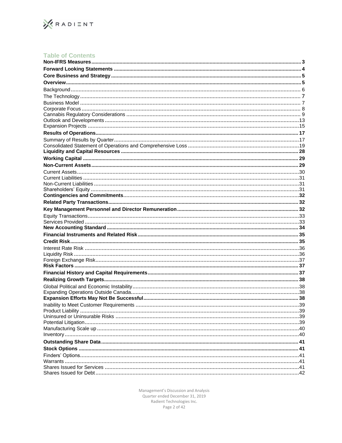

# Table of Contents

Management's Discussion and Analysis Quarter ended December 31, 2019 Radient Technologies Inc.<br>Page 2 of 42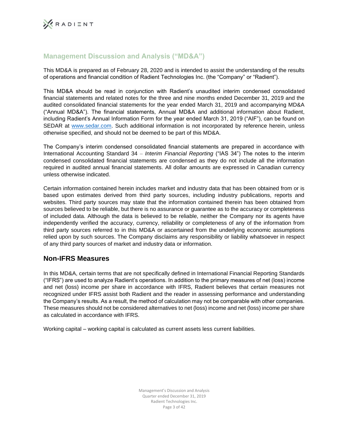# **Management Discussion and Analysis ("MD&A")**

This MD&A is prepared as of February 28, 2020 and is intended to assist the understanding of the results of operations and financial condition of Radient Technologies Inc. (the "Company" or "Radient").

This MD&A should be read in conjunction with Radient's unaudited interim condensed consolidated financial statements and related notes for the three and nine months ended December 31, 2019 and the audited consolidated financial statements for the year ended March 31, 2019 and accompanying MD&A ("Annual MD&A"). The financial statements, Annual MD&A and additional information about Radient, including Radient's Annual Information Form for the year ended March 31, 2019 ("AIF"), can be found on SEDAR at www.sedar.com. Such additional information is not incorporated by reference herein, unless otherwise specified, and should not be deemed to be part of this MD&A.

The Company's interim condensed consolidated financial statements are prepared in accordance with International Accounting Standard 34 – *Interim Financial Reporting* ("IAS 34") The notes to the interim condensed consolidated financial statements are condensed as they do not include all the information required in audited annual financial statements. All dollar amounts are expressed in Canadian currency unless otherwise indicated.

Certain information contained herein includes market and industry data that has been obtained from or is based upon estimates derived from third party sources, including industry publications, reports and websites. Third party sources may state that the information contained therein has been obtained from sources believed to be reliable, but there is no assurance or guarantee as to the accuracy or completeness of included data. Although the data is believed to be reliable, neither the Company nor its agents have independently verified the accuracy, currency, reliability or completeness of any of the information from third party sources referred to in this MD&A or ascertained from the underlying economic assumptions relied upon by such sources. The Company disclaims any responsibility or liability whatsoever in respect of any third party sources of market and industry data or information.

# **Non-IFRS Measures**

In this MD&A, certain terms that are not specifically defined in International Financial Reporting Standards ("IFRS") are used to analyze Radient's operations. In addition to the primary measures of net (loss) income and net (loss) income per share in accordance with IFRS, Radient believes that certain measures not recognized under IFRS assist both Radient and the reader in assessing performance and understanding the Company's results. As a result, the method of calculation may not be comparable with other companies. These measures should not be considered alternatives to net (loss) income and net (loss) income per share as calculated in accordance with IFRS.

Working capital – working capital is calculated as current assets less current liabilities.

Management's Discussion and Analysis Quarter ended December 31, 2019 Radient Technologies Inc. Page 3 of 42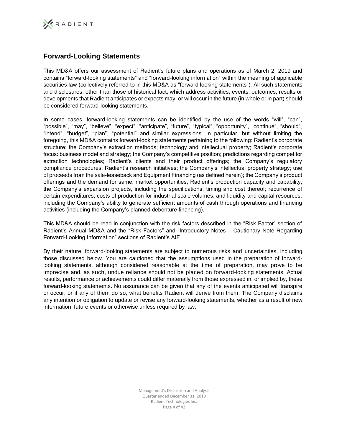

# **Forward-Looking Statements**

This MD&A offers our assessment of Radient's future plans and operations as of March 2, 2019 and contains "forward-looking statements" and "forward-looking information" within the meaning of applicable securities law (collectively referred to in this MD&A as "forward looking statements"). All such statements and disclosures, other than those of historical fact, which address activities, events, outcomes, results or developments that Radient anticipates or expects may, or will occur in the future (in whole or in part) should be considered forward-looking statements.

In some cases, forward-looking statements can be identified by the use of the words "will", "can", "possible", "may", "believe", "expect", "anticipate", "future", "typical", "opportunity", "continue", "should", "intend", "budget", "plan", "potential" and similar expressions. In particular, but without limiting the foregoing, this MD&A contains forward-looking statements pertaining to the following: Radient's corporate structure; the Company's extraction methods; technology and intellectual property; Radient's corporate focus: business model and strategy; the Company's competitive position; predictions regarding competitor extraction technologies; Radient's clients and their product offerings; the Company's regulatory compliance procedures; Radient's research initiatives; the Company's intellectual property strategy; use of proceeds from the sale-leaseback and Equipment Financing (as defined herein); the Company's product offerings and the demand for same; market opportunities; Radient's production capacity and capability; the Company's expansion projects, including the specifications, timing and cost thereof; recurrence of certain expenditures; costs of production for industrial scale volumes; and liquidity and capital resources, including the Company's ability to generate sufficient amounts of cash through operations and financing activities (including the Company's planned debenture financing).

This MD&A should be read in conjunction with the risk factors described in the "Risk Factor" section of Radient's Annual MD&A and the "Risk Factors" and "Introductory Notes – Cautionary Note Regarding Forward-Looking Information" sections of Radient's AIF.

By their nature, forward-looking statements are subject to numerous risks and uncertainties, including those discussed below. You are cautioned that the assumptions used in the preparation of forwardlooking statements, although considered reasonable at the time of preparation, may prove to be imprecise and, as such, undue reliance should not be placed on forward-looking statements. Actual results, performance or achievements could differ materially from those expressed in, or implied by, these forward-looking statements. No assurance can be given that any of the events anticipated will transpire or occur, or if any of them do so, what benefits Radient will derive from them. The Company disclaims any intention or obligation to update or revise any forward-looking statements, whether as a result of new information, future events or otherwise unless required by law.

> Management's Discussion and Analysis Quarter ended December 31, 2019 Radient Technologies Inc. Page 4 of 42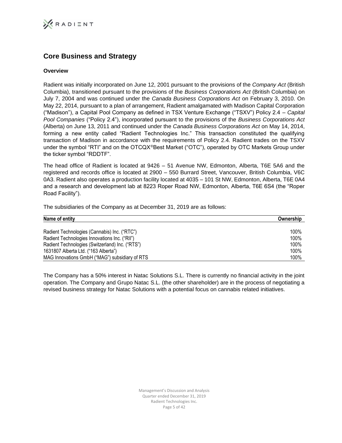# **Core Business and Strategy**

# **Overview**

Radient was initially incorporated on June 12, 2001 pursuant to the provisions of the *Company Act* (British Columbia), transitioned pursuant to the provisions of the *Business Corporations Act* (British Columbia) on July 7, 2004 and was continued under the *Canada Business Corporations Act* on February 3, 2010. On May 22, 2014, pursuant to a plan of arrangement, Radient amalgamated with Madison Capital Corporation ("Madison"), a Capital Pool Company as defined in TSX Venture Exchange ("TSXV") Policy 2.4 – *Capital Pool Companies* ("Policy 2.4"), incorporated pursuant to the provisions of the *Business Corporations Act* (Alberta) on June 13, 2011 and continued under the *Canada Business Corporations Act* on May 14, 2014, forming a new entity called "Radient Technologies Inc." This transaction constituted the qualifying transaction of Madison in accordance with the requirements of Policy 2.4. Radient trades on the TSXV under the symbol "RTI" and on the OTCQX<sup>®</sup>Best Market ("OTC"), operated by OTC Markets Group under the ticker symbol "RDDTF".

The head office of Radient is located at 9426 – 51 Avenue NW, Edmonton, Alberta, T6E 5A6 and the registered and records office is located at 2900 – 550 Burrard Street, Vancouver, British Columbia, V6C 0A3. Radient also operates a production facility located at 4035 – 101 St NW, Edmonton, Alberta, T6E 0A4 and a research and development lab at 8223 Roper Road NW, Edmonton, Alberta, T6E 6S4 (the "Roper Road Facility").

The subsidiaries of the Company as at December 31, 2019 are as follows:

| Name of entity                                  | Ownership |
|-------------------------------------------------|-----------|
|                                                 |           |
| Radient Technologies (Cannabis) Inc. ("RTC")    | 100%      |
| Radient Technologies Innovations Inc. ("RII")   | 100%      |
| Radient Technologies (Switzerland) Inc. ("RTS") | 100%      |
| 1631807 Alberta Ltd. ("163 Alberta")            | 100%      |
| MAG Innovations GmbH ("MAG") subsidiary of RTS  | 100%      |

The Company has a 50% interest in Natac Solutions S.L. There is currently no financial activity in the joint operation. The Company and Grupo Natac S.L. (the other shareholder) are in the process of negotiating a revised business strategy for Natac Solutions with a potential focus on cannabis related initiatives.

> Management's Discussion and Analysis Quarter ended December 31, 2019 Radient Technologies Inc. Page 5 of 42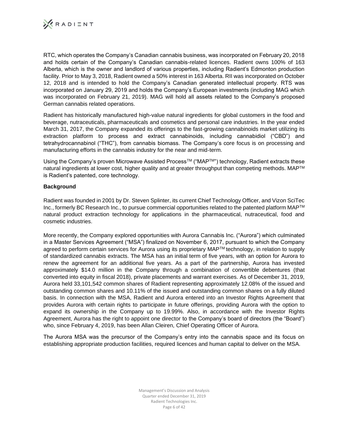

RTC, which operates the Company's Canadian cannabis business, was incorporated on February 20, 2018 and holds certain of the Company's Canadian cannabis-related licences. Radient owns 100% of 163 Alberta, which is the owner and landlord of various properties, including Radient's Edmonton production facility. Prior to May 3, 2018, Radient owned a 50% interest in 163 Alberta. RII was incorporated on October 12, 2018 and is intended to hold the Company's Canadian generated intellectual property. RTS was incorporated on January 29, 2019 and holds the Company's European investments (including MAG which was incorporated on February 21, 2019). MAG will hold all assets related to the Company's proposed German cannabis related operations.

Radient has historically manufactured high-value natural ingredients for global customers in the food and beverage, nutraceuticals, pharmaceuticals and cosmetics and personal care industries. In the year ended March 31, 2017, the Company expanded its offerings to the fast-growing cannabinoids market utilizing its extraction platform to process and extract cannabinoids, including cannabidiol ("CBD") and tetrahydrocannabinol ("THC"), from cannabis biomass. The Company's core focus is on processing and manufacturing efforts in the cannabis industry for the near and mid-term.

Using the Company's proven Microwave Assisted Process<sup>TM</sup> ("MAPT<sup>M"</sup>) technology, Radient extracts these natural ingredients at lower cost, higher quality and at greater throughput than competing methods. MAP™ is Radient's patented, core technology*.*

# **Background**

Radient was founded in 2001 by Dr. Steven Splinter, its current Chief Technology Officer, and Vizon SciTec Inc., formerly BC Research Inc., to pursue commercial opportunities related to the patented platform MAPTM natural product extraction technology for applications in the pharmaceutical, nutraceutical, food and cosmetic industries.

More recently, the Company explored opportunities with Aurora Cannabis Inc. ("Aurora") which culminated in a Master Services Agreement ("MSA") finalized on November 6, 2017, pursuant to which the Company agreed to perform certain services for Aurora using its proprietary MAPTM technology, in relation to supply of standardized cannabis extracts. The MSA has an initial term of five years, with an option for Aurora to renew the agreement for an additional five years. As a part of the partnership, Aurora has invested approximately \$14.0 million in the Company through a combination of convertible debentures (that converted into equity in fiscal 2018), private placements and warrant exercises. As of December 31, 2019, Aurora held 33,101,542 common shares of Radient representing approximately 12.08% of the issued and outstanding common shares and 10.11% of the issued and outstanding common shares on a fully diluted basis. In connection with the MSA, Radient and Aurora entered into an Investor Rights Agreement that provides Aurora with certain rights to participate in future offerings, providing Aurora with the option to expand its ownership in the Company up to 19.99%. Also, in accordance with the Investor Rights Agreement, Aurora has the right to appoint one director to the Company's board of directors (the "Board") who, since February 4, 2019, has been Allan Cleiren, Chief Operating Officer of Aurora.

The Aurora MSA was the precursor of the Company's entry into the cannabis space and its focus on establishing appropriate production facilities, required licences and human capital to deliver on the MSA.

> Management's Discussion and Analysis Quarter ended December 31, 2019 Radient Technologies Inc. Page 6 of 42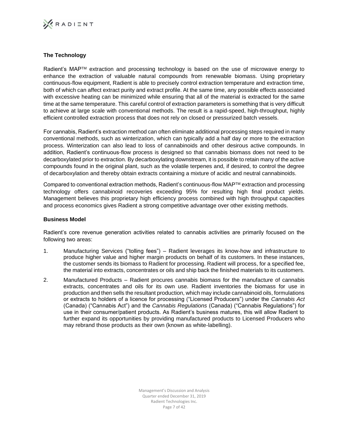

# **The Technology**

Radient's MAP™ extraction and processing technology is based on the use of microwave energy to enhance the extraction of valuable natural compounds from renewable biomass. Using proprietary continuous-flow equipment, Radient is able to precisely control extraction temperature and extraction time, both of which can affect extract purity and extract profile. At the same time, any possible effects associated with excessive heating can be minimized while ensuring that all of the material is extracted for the same time at the same temperature. This careful control of extraction parameters is something that is very difficult to achieve at large scale with conventional methods. The result is a rapid-speed, high-throughput, highly efficient controlled extraction process that does not rely on closed or pressurized batch vessels.

For cannabis, Radient's extraction method can often eliminate additional processing steps required in many conventional methods, such as winterization, which can typically add a half day or more to the extraction process. Winterization can also lead to loss of cannabinoids and other desirous active compounds. In addition, Radient's continuous-flow process is designed so that cannabis biomass does not need to be decarboxylated prior to extraction. By decarboxylating downstream, it is possible to retain many of the active compounds found in the original plant, such as the volatile terpenes and, if desired, to control the degree of decarboxylation and thereby obtain extracts containing a mixture of acidic and neutral cannabinoids.

Compared to conventional extraction methods, Radient's continuous-flow MAPTM extraction and processing technology offers cannabinoid recoveries exceeding 95% for resulting high final product yields. Management believes this proprietary high efficiency process combined with high throughput capacities and process economics gives Radient a strong competitive advantage over other existing methods.

### **Business Model**

Radient's core revenue generation activities related to cannabis activities are primarily focused on the following two areas:

- 1. Manufacturing Services ("tolling fees") Radient leverages its know-how and infrastructure to produce higher value and higher margin products on behalf of its customers. In these instances, the customer sends its biomass to Radient for processing. Radient will process, for a specified fee, the material into extracts, concentrates or oils and ship back the finished materials to its customers.
- 2. Manufactured Products Radient procures cannabis biomass for the manufacture of cannabis extracts, concentrates and oils for its own use. Radient inventories the biomass for use in production and then sells the resultant production, which may include cannabinoid oils, formulations or extracts to holders of a licence for processing ("Licensed Producers") under the *Cannabis Act*  (Canada) ("Cannabis Act") and the *Cannabis Regulations* (Canada) ("Cannabis Regulations") for use in their consumer/patient products. As Radient's business matures, this will allow Radient to further expand its opportunities by providing manufactured products to Licensed Producers who may rebrand those products as their own (known as white-labelling).

Management's Discussion and Analysis Quarter ended December 31, 2019 Radient Technologies Inc. Page 7 of 42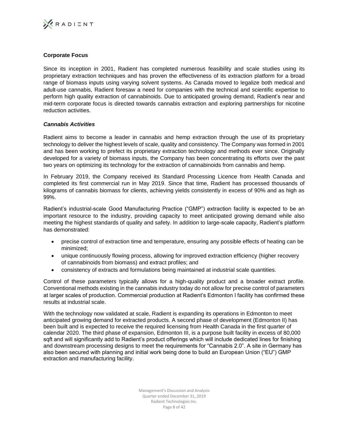

# **Corporate Focus**

Since its inception in 2001, Radient has completed numerous feasibility and scale studies using its proprietary extraction techniques and has proven the effectiveness of its extraction platform for a broad range of biomass inputs using varying solvent systems. As Canada moved to legalize both medical and adult-use cannabis, Radient foresaw a need for companies with the technical and scientific expertise to perform high quality extraction of cannabinoids. Due to anticipated growing demand, Radient's near and mid-term corporate focus is directed towards cannabis extraction and exploring partnerships for nicotine reduction activities.

# *Cannabis Activities*

Radient aims to become a leader in cannabis and hemp extraction through the use of its proprietary technology to deliver the highest levels of scale, quality and consistency. The Company was formed in 2001 and has been working to prefect its proprietary extraction technology and methods ever since. Originally developed for a variety of biomass inputs, the Company has been concentrating its efforts over the past two years on optimizing its technology for the extraction of cannabinoids from cannabis and hemp.

In February 2019, the Company received its Standard Processing Licence from Health Canada and completed its first commercial run in May 2019. Since that time, Radient has processed thousands of kilograms of cannabis biomass for clients, achieving yields consistently in excess of 90% and as high as 99%.

Radient's industrial-scale Good Manufacturing Practice ("GMP") extraction facility is expected to be an important resource to the industry, providing capacity to meet anticipated growing demand while also meeting the highest standards of quality and safety. In addition to large-scale capacity, Radient's platform has demonstrated:

- precise control of extraction time and temperature, ensuring any possible effects of heating can be minimized;
- unique continuously flowing process, allowing for improved extraction efficiency (higher recovery of cannabinoids from biomass) and extract profiles; and
- consistency of extracts and formulations being maintained at industrial scale quantities.

Control of these parameters typically allows for a high-quality product and a broader extract profile. Conventional methods existing in the cannabis industry today do not allow for precise control of parameters at larger scales of production. Commercial production at Radient's Edmonton I facility has confirmed these results at industrial scale.

With the technology now validated at scale, Radient is expanding its operations in Edmonton to meet anticipated growing demand for extracted products. A second phase of development (Edmonton II) has been built and is expected to receive the required licensing from Health Canada in the first quarter of calendar 2020. The third phase of expansion, Edmonton III, is a purpose built facility in excess of 80,000 sqft and will significantly add to Radient's product offerings which will include dedicated lines for finishing and downstream processing designs to meet the requirements for "Cannabis 2.0". A site in Germany has also been secured with planning and initial work being done to build an European Union ("EU") GMP extraction and manufacturing facility.

> Management's Discussion and Analysis Quarter ended December 31, 2019 Radient Technologies Inc. Page 8 of 42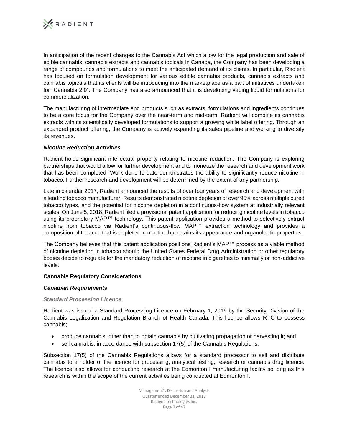

In anticipation of the recent changes to the Cannabis Act which allow for the legal production and sale of edible cannabis, cannabis extracts and cannabis topicals in Canada, the Company has been developing a range of compounds and formulations to meet the anticipated demand of its clients. In particular, Radient has focused on formulation development for various edible cannabis products, cannabis extracts and cannabis topicals that its clients will be introducing into the marketplace as a part of initiatives undertaken for "Cannabis 2.0". The Company has also announced that it is developing vaping liquid formulations for commercialization.

The manufacturing of intermediate end products such as extracts, formulations and ingredients continues to be a core focus for the Company over the near-term and mid-term. Radient will combine its cannabis extracts with its scientifically developed formulations to support a growing white label offering. Through an expanded product offering, the Company is actively expanding its sales pipeline and working to diversify its revenues.

# *Nicotine Reduction Activities*

Radient holds significant intellectual property relating to nicotine reduction. The Company is exploring partnerships that would allow for further development and to monetize the research and development work that has been completed. Work done to date demonstrates the ability to significantly reduce nicotine in tobacco. Further research and development will be determined by the extent of any partnership.

Late in calendar 2017, Radient announced the results of over four years of research and development with a leading tobacco manufacturer. Results demonstrated nicotine depletion of over 95% across multiple cured tobacco types, and the potential for nicotine depletion in a continuous-flow system at industrially relevant scales. On June 5, 2018, Radient filed a provisional patent application for reducing nicotine levels in tobacco using its proprietary MAP™ technology. This patent application provides a method to selectively extract nicotine from tobacco via Radient's continuous-flow MAP™ extraction technology and provides a composition of tobacco that is depleted in nicotine but retains its appearance and organoleptic properties.

The Company believes that this patent application positions Radient's MAP™ process as a viable method of nicotine depletion in tobacco should the United States Federal Drug Administration or other regulatory bodies decide to regulate for the mandatory reduction of nicotine in cigarettes to minimally or non-addictive levels.

# **Cannabis Regulatory Considerations**

# *Canadian Requirements*

# *Standard Processing Licence*

Radient was issued a Standard Processing Licence on February 1, 2019 by the Security Division of the Cannabis Legalization and Regulation Branch of Health Canada. This licence allows RTC to possess cannabis;

- produce cannabis, other than to obtain cannabis by cultivating propagation or harvesting it; and
- sell cannabis, in accordance with subsection 17(5) of the Cannabis Regulations.

Subsection 17(5) of the Cannabis Regulations allows for a standard processor to sell and distribute cannabis to a holder of the licence for processing, analytical testing, research or cannabis drug licence. The licence also allows for conducting research at the Edmonton I manufacturing facility so long as this research is within the scope of the current activities being conducted at Edmonton I.

> Management's Discussion and Analysis Quarter ended December 31, 2019 Radient Technologies Inc. Page 9 of 42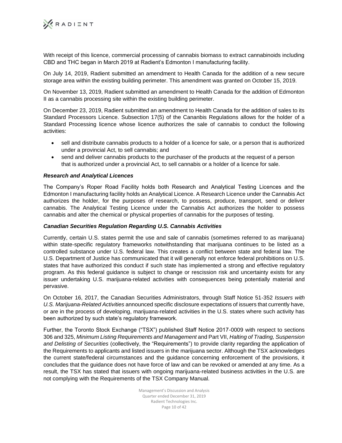

With receipt of this licence, commercial processing of cannabis biomass to extract cannabinoids including CBD and THC began in March 2019 at Radient's Edmonton I manufacturing facility.

On July 14, 2019, Radient submitted an amendment to Health Canada for the addition of a new secure storage area within the existing building perimeter. This amendment was granted on October 15, 2019.

On November 13, 2019, Radient submitted an amendment to Health Canada for the addition of Edmonton II as a cannabis processing site within the existing building perimeter.

On December 23, 2019, Radient submitted an amendment to Health Canada for the addition of sales to its Standard Processors Licence. Subsection 17(5) of the Cananbis Regulations allows for the holder of a Standard Processing licence whose licence authorizes the sale of cannabis to conduct the following activities:

- sell and distribute cannabis products to a holder of a licence for sale, or a person that is authorized under a provincial Act, to sell cannabis; and
- send and deliver cannabis products to the purchaser of the products at the request of a person that is authorized under a provincial Act, to sell cannabis or a holder of a licence for sale.

# *Research and Analytical Licences*

The Company's Roper Road Facility holds both Research and Analytical Testing Licences and the Edmonton I manufacturing facility holds an Analytical Licence. A Research Licence under the Cannabis Act authorizes the holder, for the purposes of research, to possess, produce, transport, send or deliver cannabis. The Analytical Testing Licence under the Cannabis Act authorizes the holder to possess cannabis and alter the chemical or physical properties of cannabis for the purposes of testing.

#### *Canadian Securities Regulation Regarding U.S. Cannabis Activities*

Currently, certain U.S. states permit the use and sale of cannabis (sometimes referred to as marijuana) within state-specific regulatory frameworks notwithstanding that marijuana continues to be listed as a controlled substance under U.S. federal law. This creates a conflict between state and federal law. The U.S. Department of Justice has communicated that it will generally not enforce federal prohibitions on U.S. states that have authorized this conduct if such state has implemented a strong and effective regulatory program. As this federal guidance is subject to change or rescission risk and uncertainty exists for any issuer undertaking U.S. marijuana-related activities with consequences being potentially material and pervasive.

On October 16, 2017, the Canadian Securities Administrators, through Staff Notice 51-352 *Issuers with U.S. Marijuana-Related Activities* announced specific disclosure expectations of issuers that currently have, or are in the process of developing, marijuana-related activities in the U.S. states where such activity has been authorized by such state's regulatory framework.

Further, the Toronto Stock Exchange ("TSX") published Staff Notice 2017-0009 with respect to sections 306 and 325, *Minimum Listing Requirements and Management* and Part VII, *Halting of Trading, Suspension and Delisting of Securities* (collectively, the "Requirements") to provide clarity regarding the application of the Requirements to applicants and listed issuers in the marijuana sector. Although the TSX acknowledges the current state/federal circumstances and the guidance concerning enforcement of the provisions, it concludes that the guidance does not have force of law and can be revoked or amended at any time. As a result, the TSX has stated that issuers with ongoing marijuana-related business activities in the U.S. are not complying with the Requirements of the TSX Company Manual.

> Management's Discussion and Analysis Quarter ended December 31, 2019 Radient Technologies Inc. Page 10 of 42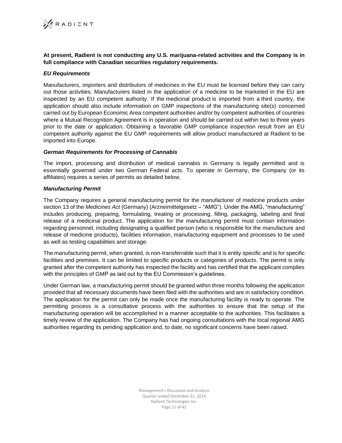**At present, Radient is not conducting any U.S. marijuana-related activities and the Company is in full compliance with Canadian securities regulatory requirements.**

# *EU Requirements*

Manufacturers, importers and distributors of medicines in the EU must be licensed before they can carry out those activities. Manufacturers listed in the application of a medicine to be marketed in the EU are inspected by an EU competent authority. If the medicinal product is imported from a third country, the application should also include information on GMP inspections of the manufacturing site(s) concerned carried out by European Economic Area competent authorities and/or by competent authorities of countries where a Mutual Recognition Agreement is in operation and should be carried out within two to three years prior to the date or application. Obtaining a favorable GMP compliance inspection result from an EU competent authority against the EU GMP requirements will allow product manufactured at Radient to be imported into Europe.

# *German Requirements for Processing of Cannabis*

The import, processing and distribution of medical cannabis in Germany is legally permitted and is essentially governed under two German Federal acts. To operate in Germany, the Company (or its affiliates) requires a series of permits as detailed below.

# *Manufacturing Permit*

The Company requires a general manufacturing permit for the manufacturer of medicine products under section 13 of the *Medicines Act* (Germany) (Arzneimittelgesetz – "AMG"). Under the AMG, "manufacturing" includes producing, preparing, formulating, treating or processing, filling, packaging, labeling and final release of a medicinal product. The application for the manufacturing permit must contain information regarding personnel, including designating a qualified person (who is responsible for the manufacture and release of medicine products), facilities information, manufacturing equipment and processes to be used as well as testing capabilities and storage.

The manufacturing permit, when granted, is non-transferrable such that it is entity specific and is for specific facilities and premises. It can be limited to specific products or categories of products. The permit is only granted after the competent authority has inspected the facility and has certified that the applicant complies with the principles of GMP as laid out by the EU Commission's guidelines.

Under German law, a manufacturing permit should be granted within three months following the application provided that all necessary documents have been filed with the authorities and are in satisfactory condition. The application for the permit can only be made once the manufacturing facility is ready to operate. The permitting process is a consultative process with the authorities to ensure that the setup of the manufacturing operation will be accomplished in a manner acceptable to the authorities. This facilitates a timely review of the application. The Company has had ongoing consultations with the local regional AMG authorities regarding its pending application and, to date, no significant concerns have been raised.

> Management's Discussion and Analysis Quarter ended December 31, 2019 Radient Technologies Inc. Page 11 of 42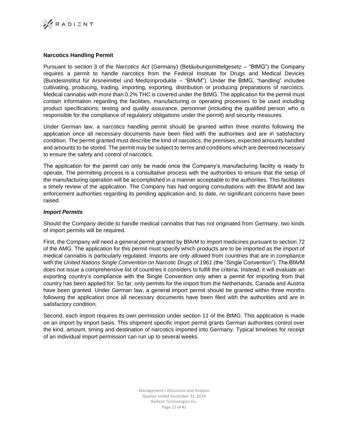

# **Narcotics Handling Permit**

Pursuant to section 3 of the *Narcotics Act* (Germany) (Betäubungsmittelgesetz – "BtMG") the Company requires a permit to handle narcotics from the Federal Institute for Drugs and Medical Devices (Bundesinstitut für Arsneimittel und Medizinprodukte – "BfArM"). Under the BtMG, "handling" includes cultivating, producing, trading, importing, exporting, distribution or producing preparations of narcotics. Medical cannabis with more than 0.2% THC is covered under the BtMG. The application for the permit must contain information regarding the facilities, manufacturing or operating processes to be used including product specifications, testing and quality assurance, personnel (including the qualified person who is responsible for the compliance of regulatory obligations under the permit) and security measures.

Under German law, a narcotics handling permit should be granted within three months following the application once all necessary documents have been filed with the authorities and are in satisfactory condition. The permit granted must describe the kind of narcotics, the premises, expected amounts handled and amounts to be stored. The permit may be subject to terms and conditions which are deemed necessary to ensure the safety and control of narcotics.

The application for the permit can only be made once the Company's manufacturing facility is ready to operate. The permitting process is a consultative process with the authorities to ensure that the setup of the manufacturing operation will be accomplished in a manner acceptable to the authorities. This facilitates a timely review of the application. The Company has had ongoing consultations with the BfArM and law enforcement authorities regarding its pending application and, to date, no significant concerns have been raised.

# *Import Permits*

Should the Company decide to handle medical cannabis that has not originated from Germany, two kinds of import permits will be required.

First, the Company will need a general permit granted by BfArM to import medicines pursuant to section 72 of the AMG. The application for this permit must specify which products are to be imported as the import of medical cannabis is particularly regulated. Imports are only allowed from countries that are in compliance with the *United Nations Single Convention on Narcotic Drugs of 1961* (the "Single Convention"). The BfArM does not issue a comprehensive list of countries it considers to fulfill the criteria. Instead, it will evaluate an exporting country's compliance with the Single Convention only when a permit for importing from that country has been applied for. So far, only permits for the import from the Netherlands, Canada and Austria have been granted. Under German law, a general import permit should be granted within three months following the application once all necessary documents have been filed with the authorities and are in satisfactory condition.

Second, each import requires its own permission under section 11 of the BtMG. This application is made on an import by import basis. This shipment specific import permit grants German authorities control over the kind, amount, timing and destination of narcotics imported into Germany. Typical timelines for receipt of an individual import permission can run up to several weeks.

> Management's Discussion and Analysis Quarter ended December 31, 2019 Radient Technologies Inc. Page 12 of 42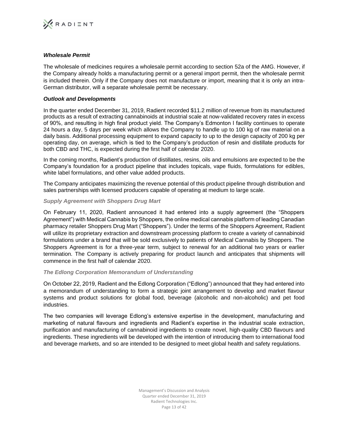

### *Wholesale Permit*

The wholesale of medicines requires a wholesale permit according to section 52a of the AMG. However, if the Company already holds a manufacturing permit or a general import permit, then the wholesale permit is included therein. Only if the Company does not manufacture or import, meaning that it is only an intra-German distributor, will a separate wholesale permit be necessary.

### *Outlook and Developments*

In the quarter ended December 31, 2019, Radient recorded \$11.2 million of revenue from its manufactured products as a result of extracting cannabinoids at industrial scale at now-validated recovery rates in excess of 90%, and resulting in high final product yield. The Company's Edmonton I facility continues to operate 24 hours a day, 5 days per week which allows the Company to handle up to 100 kg of raw material on a daily basis. Additional processing equipment to expand capacity to up to the design capacity of 200 kg per operating day, on average, which is tied to the Company's production of resin and distillate products for both CBD and THC, is expected during the first half of calendar 2020.

In the coming months, Radient's production of distillates, resins, oils and emulsions are expected to be the Company's foundation for a product pipeline that includes topicals, vape fluids, formulations for edibles, white label formulations, and other value added products.

The Company anticipates maximizing the revenue potential of this product pipeline through distribution and sales partnerships with licensed producers capable of operating at medium to large scale.

#### *Supply Agreement with Shoppers Drug Mart*

On February 11, 2020, Radient announced it had entered into a supply agreement (the "Shoppers Agreement") with Medical Cannabis by Shoppers, the online medical cannabis platform of leading Canadian pharmacy retailer Shoppers Drug Mart ("Shoppers"). Under the terms of the Shoppers Agreement, Radient will utilize its proprietary extraction and downstream processing platform to create a variety of cannabinoid formulations under a brand that will be sold exclusively to patients of Medical Cannabis by Shoppers. The Shoppers Agreement is for a three-year term, subject to renewal for an additional two years or earlier termination. The Company is actively preparing for product launch and anticipates that shipments will commence in the first half of calendar 2020.

# *The Edlong Corporation Memorandum of Understanding*

On October 22, 2019, Radient and the Edlong Corporation ("Edlong") announced that they had entered into a memorandum of understanding to form a strategic joint arrangement to develop and market flavour systems and product solutions for global food, beverage (alcoholic and non-alcoholic) and pet food industries.

The two companies will leverage Edlong's extensive expertise in the development, manufacturing and marketing of natural flavours and ingredients and Radient's expertise in the industrial scale extraction, purification and manufacturing of cannabinoid ingredients to create novel, high-quality CBD flavours and ingredients. These ingredients will be developed with the intention of introducing them to international food and beverage markets, and so are intended to be designed to meet global health and safety regulations.

> Management's Discussion and Analysis Quarter ended December 31, 2019 Radient Technologies Inc. Page 13 of 42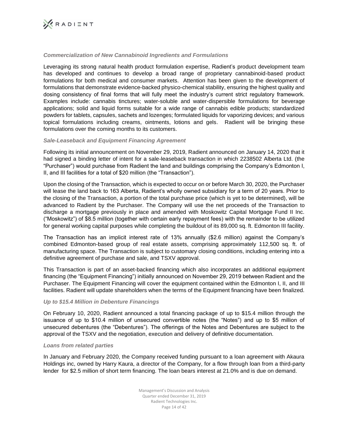

### *Commercialization of New Cannabinoid Ingredients and Formulations*

Leveraging its strong natural health product formulation expertise, Radient's product development team has developed and continues to develop a broad range of proprietary cannabinoid-based product formulations for both medical and consumer markets. Attention has been given to the development of formulations that demonstrate evidence-backed physico-chemical stability, ensuring the highest quality and dosing consistency of final forms that will fully meet the industry's current strict regulatory framework. Examples include: cannabis tinctures; water-soluble and water-dispersible formulations for beverage applications; solid and liquid forms suitable for a wide range of cannabis edible products; standardized powders for tablets, capsules, sachets and lozenges; formulated liquids for vaporizing devices; and various topical formulations including creams, ointments, lotions and gels. Radient will be bringing these formulations over the coming months to its customers.

#### *Sale-Leaseback and Equipment Financing Agreement*

Following its initial announcement on November 29, 2019, Radient announced on January 14, 2020 that it had signed a binding letter of intent for a sale-leaseback transaction in which 2238502 Alberta Ltd. (the "Purchaser") would purchase from Radient the land and buildings comprising the Company's Edmonton I, II, and III facilities for a total of \$20 million (the "Transaction").

Upon the closing of the Transaction, which is expected to occur on or before March 30, 2020, the Purchaser will lease the land back to 163 Alberta, Radient's wholly owned subsidiary for a term of 20 years. Prior to the closing of the Transaction, a portion of the total purchase price (which is yet to be determined), will be advanced to Radient by the Purchaser. The Company will use the net proceeds of the Transaction to discharge a mortgage previously in place and amended with Moskowitz Capital Mortgage Fund II Inc. ("Moskowitz") of \$8.5 million (together with certain early repayment fees) with the remainder to be utilized for general working capital purposes while completing the buildout of its 89,000 sq. ft. Edmonton III facility.

The Transaction has an implicit interest rate of 13% annually (\$2.6 million) against the Company's combined Edmonton-based group of real estate assets, comprising approximately 112,500 sq. ft. of manufacturing space. The Transaction is subject to customary closing conditions, including entering into a definitive agreement of purchase and sale, and TSXV approval.

This Transaction is part of an asset-backed financing which also incorporates an additional equipment financing (the "Equipment Financing") initially announced on November 29, 2019 between Radient and the Purchaser. The Equipment Financing will cover the equipment contained within the Edmonton I, II, and III facilities. Radient will update shareholders when the terms of the Equipment financing have been finalized.

# *Up to \$15.4 Million in Debenture Financings*

On February 10, 2020, Radient announced a total financing package of up to \$15.4 million through the issuance of up to \$10.4 million of unsecured convertible notes (the "Notes") and up to \$5 million of unsecured debentures (the "Debentures"). The offerings of the Notes and Debentures are subject to the approval of the TSXV and the negotiation, execution and delivery of definitive documentation.

#### *Loans from related parties*

In January and February 2020, the Company received funding pursuant to a loan agreement with Akaura Holdings inc, owned by Harry Kaura, a director of the Company, for a flow through loan from a third-party lender for \$2.5 million of short term financing. The loan bears interest at 21.0% and is due on demand.

> Management's Discussion and Analysis Quarter ended December 31, 2019 Radient Technologies Inc. Page 14 of 42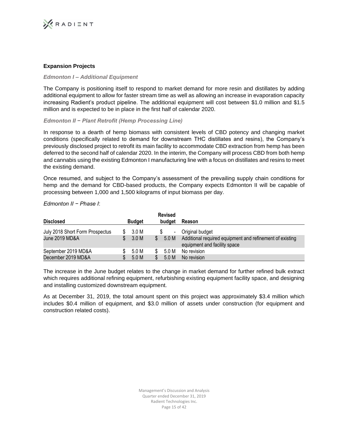

# **Expansion Projects**

### *Edmonton I – Additional Equipment*

The Company is positioning itself to respond to market demand for more resin and distillates by adding additional equipment to allow for faster stream time as well as allowing an increase in evaporation capacity increasing Radient's product pipeline. The additional equipment will cost between \$1.0 million and \$1.5 million and is expected to be in place in the first half of calendar 2020.

### *Edmonton II − Plant Retrofit (Hemp Processing Line)*

In response to a dearth of hemp biomass with consistent levels of CBD potency and changing market conditions (specifically related to demand for downstream THC distillates and resins), the Company's previously disclosed project to retrofit its main facility to accommodate CBD extraction from hemp has been deferred to the second half of calendar 2020. In the interim, the Company will process CBD from both hemp and cannabis using the existing Edmonton I manufacturing line with a focus on distillates and resins to meet the existing demand.

Once resumed, and subject to the Company's assessment of the prevailing supply chain conditions for hemp and the demand for CBD-based products, the Company expects Edmonton II will be capable of processing between 1,000 and 1,500 kilograms of input biomass per day.

| <b>Disclosed</b>                | <b>Budget</b> |    | <b>Revised</b><br>budget | Reason                                                                                   |
|---------------------------------|---------------|----|--------------------------|------------------------------------------------------------------------------------------|
| July 2018 Short Form Prospectus | 3.0 M         |    | $\blacksquare$           | Original budget                                                                          |
| June 2019 MD&A                  | 3.0 M         | \$ | 5.0 M                    | Additional required equipment and refinement of existing<br>equipment and facility space |
| September 2019 MD&A             | 5.0 M         |    | 5.0 M                    | No revision                                                                              |
| December 2019 MD&A              | 5.0 M         | S  | 5.0 M                    | No revision                                                                              |

### *Edmonton II − Phase I*:

The increase in the June budget relates to the change in market demand for further refined bulk extract which requires additional refining equipment, refurbishing existing equipment facility space, and designing and installing customized downstream equipment.

As at December 31, 2019, the total amount spent on this project was approximately \$3.4 million which includes \$0.4 million of equipment, and \$3.0 million of assets under construction (for equipment and construction related costs).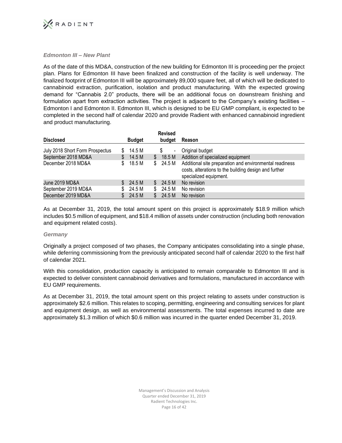

# *Edmonton III – New Plant*

As of the date of this MD&A, construction of the new building for Edmonton III is proceeding per the project plan. Plans for Edmonton III have been finalized and construction of the facility is well underway. The finalized footprint of Edmonton III will be approximately 89,000 square feet, all of which will be dedicated to cannabinoid extraction, purification, isolation and product manufacturing. With the expected growing demand for "Cannabis 2.0" products, there will be an additional focus on downstream finishing and formulation apart from extraction activities. The project is adjacent to the Company's existing facilities – Edmonton I and Edmonton II. Edmonton III, which is designed to be EU GMP compliant, is expected to be completed in the second half of calendar 2020 and provide Radient with enhanced cannabinoid ingredient and product manufacturing.

|                                 |               |     | <b>Revised</b>           |                                                                                                                                            |
|---------------------------------|---------------|-----|--------------------------|--------------------------------------------------------------------------------------------------------------------------------------------|
| <b>Disclosed</b>                | <b>Budget</b> |     | budget                   | Reason                                                                                                                                     |
| July 2018 Short Form Prospectus | 14.5 M        |     | $\overline{\phantom{a}}$ | Original budget                                                                                                                            |
| September 2018 MD&A             | 14.5 M        | S.  | 18.5 M                   | Addition of specialized equipment                                                                                                          |
| December 2018 MD&A              | 18.5 M        |     | \$24.5 M                 | Additional site preparation and environmental readiness<br>costs, alterations to the building design and further<br>specialized equipment. |
| June 2019 MD&A                  | 24.5 M        | S.  | 24.5 M                   | No revision                                                                                                                                |
| September 2019 MD&A             | 24.5 M        | \$. | 24.5 M                   | No revision                                                                                                                                |
| December 2019 MD&A              | 24.5 M        |     | 24.5 M                   | No revision                                                                                                                                |

As at December 31, 2019, the total amount spent on this project is approximately \$18.9 million which includes \$0.5 million of equipment, and \$18.4 million of assets under construction (including both renovation and equipment related costs).

# *Germany*

Originally a project composed of two phases, the Company anticipates consolidating into a single phase, while deferring commissioning from the previously anticipated second half of calendar 2020 to the first half of calendar 2021.

With this consolidation, production capacity is anticipated to remain comparable to Edmonton III and is expected to deliver consistent cannabinoid derivatives and formulations, manufactured in accordance with EU GMP requirements.

As at December 31, 2019, the total amount spent on this project relating to assets under construction is approximately \$2.6 million. This relates to scoping, permitting, engineering and consulting services for plant and equipment design, as well as environmental assessments. The total expenses incurred to date are approximately \$1.3 million of which \$0.6 million was incurred in the quarter ended December 31, 2019.

> Management's Discussion and Analysis Quarter ended December 31, 2019 Radient Technologies Inc. Page 16 of 42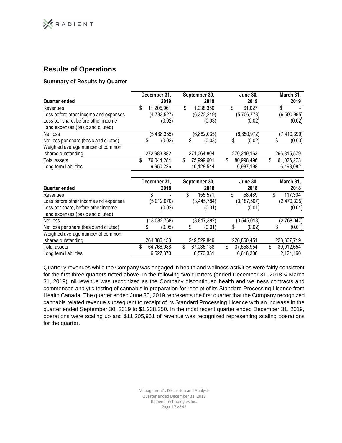# **Results of Operations**

# **Summary of Results by Quarter**

| <b>Quarter ended</b>                                                    | December 31, | 2019                    |    | September 30,<br>2019    |    | <b>June 30.</b><br>2019 |    | March 31,<br>2019       |
|-------------------------------------------------------------------------|--------------|-------------------------|----|--------------------------|----|-------------------------|----|-------------------------|
| Revenues                                                                | \$           | 11,205,961              | \$ | 1,238,350                | \$ | 61,027                  | S  |                         |
| Loss before other income and expenses                                   |              | (4,733,527)             |    | (6,372,219)              |    | (5,706,773)             |    | (6,590,995)             |
| Loss per share, before other income<br>and expenses (basic and diluted) |              | (0.02)                  |    | (0.03)                   |    | (0.02)                  |    | (0.02)                  |
| Net loss                                                                |              | (5,438,335)             |    | (6,882,035)              |    | (6,350,972)             |    | (7, 410, 399)           |
| Net loss per share (basic and diluted)                                  |              | (0.02)                  |    | (0.03)                   |    | (0.02)                  |    | (0.03)                  |
| Weighted average number of common<br>shares outstanding                 | 272,983,882  |                         |    | 271,064,804              |    | 270,249,163             |    | 266,815,579             |
| Total assets<br>Long term liabilities                                   | \$           | 76,044,284<br>9,950,226 | \$ | 75,999,601<br>10,128,544 | \$ | 80,998,496<br>6,987,198 | \$ | 61,026,273<br>6,493,082 |

| Quarter ended                                                           | December 31, | 2018                         | September 30,<br>2018         |    | <b>June 30,</b><br>2018 |    | March 31,<br>2018       |
|-------------------------------------------------------------------------|--------------|------------------------------|-------------------------------|----|-------------------------|----|-------------------------|
| Revenues                                                                |              | $\qquad \qquad \blacksquare$ | \$<br>155,571                 | J. | 58,489                  | Œ  | 117,304                 |
| Loss before other income and expenses                                   |              | (5,012,070)                  | (3,445,784)                   |    | (3, 187, 507)           |    | (2,470,325)             |
| Loss per share, before other income<br>and expenses (basic and diluted) |              | (0.02)                       | (0.01)                        |    | (0.01)                  |    | (0.01)                  |
| Net loss                                                                |              | (13,082,768)                 | (3,817,382)                   |    | (3,545,018)             |    | (2,768,047)             |
| Net loss per share (basic and diluted)                                  |              | (0.05)                       | (0.01)                        |    | (0.02)                  |    | (0.01)                  |
| Weighted average number of common<br>shares outstanding                 |              | 264,386,453                  | 249,529,849                   |    | 226,860,451             |    | 223,367,719             |
| Total assets<br>Long term liabilities                                   | \$           | 64,766,988<br>6,527,370      | \$<br>67,035,138<br>6,573,331 | \$ | 37,558,954<br>6,618,306 | \$ | 30,012,654<br>2,124,160 |

Quarterly revenues while the Company was engaged in health and wellness activities were fairly consistent for the first three quarters noted above. In the following two quarters (ended December 31, 2018 & March 31, 2019), nil revenue was recognized as the Company discontinued health and wellness contracts and commenced analytic testing of cannabis in preparation for receipt of its Standard Processing Licence from Health Canada. The quarter ended June 30, 2019 represents the first quarter that the Company recognized cannabis related revenue subsequent to receipt of its Standard Processing Licence with an increase in the quarter ended September 30, 2019 to \$1,238,350. In the most recent quarter ended December 31, 2019, operations were scaling up and \$11,205,961 of revenue was recognized representing scaling operations for the quarter.

> Management's Discussion and Analysis Quarter ended December 31, 2019 Radient Technologies Inc. Page 17 of 42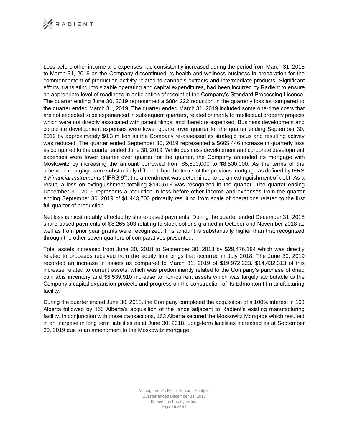

Loss before other income and expenses had consistently increased during the period from March 31, 2018 to March 31, 2019 as the Company discontinued its health and wellness business in preparation for the commencement of production activity related to cannabis extracts and intermediate products. Significant efforts, translating into sizable operating and capital expenditures, had been incurred by Radient to ensure an appropriate level of readiness in anticipation of receipt of the Company's Standard Processing Licence. The quarter ending June 30, 2019 represented a \$884,222 reduction in the quarterly loss as compared to the quarter ended March 31, 2019. The quarter ended March 31, 2019 included some one-time costs that are not expected to be experienced in subsequent quarters, related primarily to intellectual property projects which were not directly associated with patent filings, and therefore expensed. Business development and corporate development expenses were lower quarter over quarter for the quarter ending September 30, 2019 by approximately \$0.3 million as the Company re-assessed its strategic focus and resulting activity was reduced. The quarter ended September 30, 2019 represented a \$665,446 increase in quarterly loss as compared to the quarter ended June 30, 2019. While business development and corporate development expenses were lower quarter over quarter for the quarter, the Company amended its mortgage with Moskowitz by increasing the amount borrowed from \$5,500,000 to \$8,500,000. As the terms of the amended mortgage were substantially different than the terms of the previous mortgage as defined by IFRS 9 *Financial Instruments* ("IFRS 9"), the amendment was determined to be an extinguishment of debt. As a result, a loss on extinguishment totalling \$440,513 was recognized in the quarter. The quarter ending December 31, 2019 represents a reduction in loss before other income and expenses from the quarter ending September 30, 2019 of \$1,443,700 primarily resulting from scale of operations related to the first full quarter of production.

Net loss is most notably affected by share-based payments. During the quarter ended December 31, 2018 share-based payments of \$8,265,303 relating to stock options granted in October and November 2018 as well as from prior year grants were recognized. This amount is substantially higher than that recognized through the other seven quarters of comparatives presented.

Total assets increased from June 30, 2018 to September 30, 2018 by \$29,476,184 which was directly related to proceeds received from the equity financings that occurred in July 2018. The June 30, 2019 recorded an increase in assets as compared to March 31, 2019 of \$19,972,223. \$14,432,313 of this increase related to current assets, which was predominantly related to the Company's purchase of dried cannabis inventory and \$5,539,910 increase to non-current assets which was largely attributable to the Company's capital expansion projects and progress on the construction of its Edmonton III manufacturing facility.

During the quarter ended June 30, 2018, the Company completed the acquisition of a 100% interest in 163 Alberta followed by 163 Alberta's acquisition of the lands adjacent to Radient's existing manufacturing facility. In conjunction with these transactions, 163 Alberta secured the Moskowitz Mortgage which resulted in an increase in long term liabilities as at June 30, 2018. Long-term liabilities increased as at September 30, 2019 due to an amendment to the Moskowitz mortgage.

> Management's Discussion and Analysis Quarter ended December 31, 2019 Radient Technologies Inc. Page 18 of 42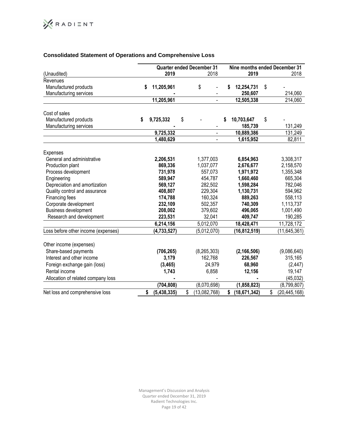# **Consolidated Statement of Operations and Comprehensive Loss**

|                                                 |                   | <b>Quarter ended December 31</b> | Nine months ended December 31 |                        |    |                |  |
|-------------------------------------------------|-------------------|----------------------------------|-------------------------------|------------------------|----|----------------|--|
| (Unaudited)                                     | 2019              | 2018                             |                               | 2019                   |    | 2018           |  |
| Revenues                                        |                   |                                  |                               |                        |    |                |  |
| Manufactured products                           | \$<br>11,205,961  | \$                               | S                             | 12,254,731             | \$ |                |  |
| Manufacturing services                          |                   |                                  |                               | 250,607                |    | 214,060        |  |
|                                                 | 11,205,961        |                                  |                               | 12,505,338             |    | 214,060        |  |
| Cost of sales                                   |                   |                                  |                               |                        |    |                |  |
|                                                 |                   |                                  | S                             |                        |    |                |  |
| Manufactured products<br>Manufacturing services | \$<br>9,725,332   | \$                               |                               | 10,703,647<br>185,739  | \$ | 131,249        |  |
|                                                 |                   |                                  |                               |                        |    |                |  |
|                                                 | 9,725,332         | $\blacksquare$                   |                               | 10,889,386             |    | 131,249        |  |
|                                                 | 1,480,629         | ÷,                               |                               | $\overline{1,}615,952$ |    | 82,811         |  |
| <b>Expenses</b>                                 |                   |                                  |                               |                        |    |                |  |
| General and administrative                      | 2,206,531         | 1,377,003                        |                               | 6,854,963              |    | 3,308,317      |  |
| Production plant                                | 869,336           | 1,037,077                        |                               | 2,676,677              |    | 2,158,570      |  |
| Process development                             | 731,978           | 557,073                          |                               | 1,971,972              |    | 1,355,348      |  |
| Engineering                                     | 589,947           | 454,787                          |                               | 1,660,460              |    | 665,304        |  |
| Depreciation and amortization                   | 569,127           | 282,502                          |                               | 1,598,284              |    | 782,046        |  |
| Quality control and assurance                   | 408,807           | 229,304                          |                               | 1,130,731              |    | 594,962        |  |
| Financing fees                                  | 174,788           | 160,324                          |                               | 889,263                |    | 558,113        |  |
| Corporate development                           | 232,109           | 502,357                          |                               | 740,309                |    | 1,113,737      |  |
| <b>Business development</b>                     | 208,002           | 379,602                          |                               | 496,065                |    | 1,001,490      |  |
| Research and development                        | 223,531           | 32,041                           |                               | 409,747                |    | 190,285        |  |
|                                                 | 6,214,156         | 5,012,070                        |                               | 18,428,471             |    | 11,728,172     |  |
| Loss before other income (expenses)             | (4,733,527)       | (5,012,070)                      |                               | (16, 812, 519)         |    | (11, 645, 361) |  |
| Other income (expenses)                         |                   |                                  |                               |                        |    |                |  |
| Share-based payments                            | (706, 265)        | (8, 265, 303)                    |                               | (2, 166, 506)          |    | (9,086,640)    |  |
| Interest and other income                       | 3,179             | 162,768                          |                               | 226,567                |    | 315,165        |  |
|                                                 |                   |                                  |                               |                        |    |                |  |
| Foreign exchange gain (loss)                    | (3, 465)          | 24,979                           |                               | 68,960                 |    | (2, 447)       |  |
| Rental income                                   | 1,743             | 6,858                            |                               | 12,156                 |    | 19,147         |  |
| Allocation of related company loss              |                   |                                  |                               |                        |    | (45, 032)      |  |
|                                                 | (704, 808)        | (8,070,698)                      |                               | (1,858,823)            |    | (8,799,807)    |  |
| Net loss and comprehensive loss                 | \$<br>(5,438,335) | \$<br>(13,082,768)               | \$                            | (18, 671, 342)         | \$ | (20, 445, 168) |  |

Management's Discussion and Analysis Quarter ended December 31, 2019 Radient Technologies Inc. Page 19 of 42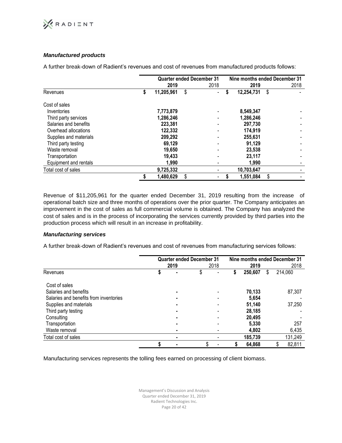

# *Manufactured products*

A further break-down of Radient's revenues and cost of revenues from manufactured products follows:

|                        |                  | <b>Quarter ended December 31</b> | Nine months ended December 31 |      |
|------------------------|------------------|----------------------------------|-------------------------------|------|
|                        | 2019             | 2018                             | 2019                          | 2018 |
| Revenues               | \$<br>11,205,961 | \$<br>$\overline{\phantom{0}}$   | \$<br>12,254,731              | \$   |
| Cost of sales          |                  |                                  |                               |      |
| Inventories            | 7,773,879        |                                  | 8,549,347                     |      |
| Third party services   | 1,286,246        |                                  | 1,286,246                     |      |
| Salaries and benefits  | 223,381          |                                  | 297,730                       |      |
| Overhead allocations   | 122,332          |                                  | 174,919                       |      |
| Supplies and materials | 209,292          |                                  | 255,631                       |      |
| Third party testing    | 69.129           |                                  | 91,129                        |      |
| Waste removal          | 19,650           |                                  | 23,538                        |      |
| Transportation         | 19,433           |                                  | 23,117                        |      |
| Equipment and rentals  | 1,990            |                                  | 1.990                         |      |
| Total cost of sales    | 9,725,332        | -                                | 10,703,647                    |      |
|                        | 1,480,629        | \$                               | 1,551,084                     | \$   |

Revenue of \$11,205,961 for the quarter ended December 31, 2019 resulting from the increase of operational batch size and three months of operations over the prior quarter. The Company anticipates an improvement in the cost of sales as full commercial volume is obtained. The Company has analyzed the cost of sales and is in the process of incorporating the services currently provided by third parties into the production process which will result in an increase in profitability.

# *Manufacturing services*

A further break-down of Radient's revenues and cost of revenues from manufacturing services follows:

|                                        |      | <b>Quarter ended December 31</b> |      | Nine months ended December 31 |         |    |              |  |
|----------------------------------------|------|----------------------------------|------|-------------------------------|---------|----|--------------|--|
|                                        | 2019 |                                  | 2018 |                               | 2019    |    | 2018         |  |
| Revenues                               |      |                                  |      | S                             | 250.607 | \$ | 214,060      |  |
| Cost of sales                          |      |                                  |      |                               |         |    |              |  |
| Salaries and benefits                  |      |                                  |      |                               | 70.133  |    | 87,307       |  |
| Salaries and benefits from inventories |      |                                  |      |                               | 5,654   |    |              |  |
| Supplies and materials                 |      |                                  |      |                               | 51.140  |    | 37,250       |  |
| Third party testing                    |      |                                  |      |                               | 28,185  |    |              |  |
| Consulting                             |      |                                  |      |                               | 20.495  |    |              |  |
| Transportation                         |      |                                  |      |                               | 5.330   |    | 257          |  |
| Waste removal                          |      |                                  |      |                               | 4,802   |    | 6,435        |  |
| Total cost of sales                    |      |                                  |      |                               | 185,739 |    | 131,249      |  |
|                                        |      | \$                               |      |                               | 64,868  |    | 82,811<br>\$ |  |

Manufacturing services represents the tolling fees earned on processing of client biomass.

Management's Discussion and Analysis Quarter ended December 31, 2019 Radient Technologies Inc. Page 20 of 42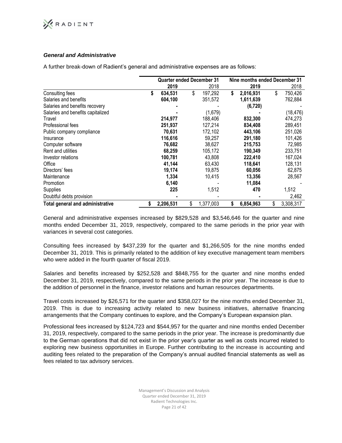# **XRADIENT**

# *General and Administrative*

A further break-down of Radient's general and administrative expenses are as follows:

|                                   | <b>Quarter ended December 31</b> |                 | Nine months ended December 31 |                 |
|-----------------------------------|----------------------------------|-----------------|-------------------------------|-----------------|
|                                   | 2019                             | 2018            | 2019                          | 2018            |
| Consulting fees                   | \$<br>634,531                    | \$<br>197,292   | \$<br>2,016,931               | \$<br>750,426   |
| Salaries and benefits             | 604,100                          | 351,572         | 1,611,639                     | 762,884         |
| Salaries and benefits recovery    |                                  |                 | (6, 720)                      |                 |
| Salaries and benefits capitalized |                                  | (1,679)         |                               | (18, 476)       |
| Travel                            | 214,977                          | 188,406         | 832,300                       | 474,273         |
| Professional fees                 | 251,937                          | 127,214         | 834,408                       | 289,451         |
| Public company compliance         | 70,631                           | 172,102         | 443,106                       | 251,026         |
| Insurance                         | 116,616                          | 59.257          | 291,180                       | 101,426         |
| Computer software                 | 76,682                           | 38,627          | 215,753                       | 72,985          |
| Rent and utilities                | 68,259                           | 105,172         | 190,349                       | 233,751         |
| Investor relations                | 100,781                          | 43,808          | 222,410                       | 167,024         |
| Office                            | 41,144                           | 63,430          | 118,641                       | 128,131         |
| Directors' fees                   | 19,174                           | 19,875          | 60,056                        | 62,875          |
| Maintenance                       | 1,334                            | 10,415          | 13,356                        | 28,567          |
| Promotion                         | 6,140                            |                 | 11,084                        |                 |
| Supplies                          | 225                              | 1,512           | 470                           | 1,512           |
| Doubtful debts provision          |                                  |                 |                               | 2,462           |
| Total general and administrative  | \$<br>2,206,531                  | \$<br>1,377,003 | \$<br>6,854,963               | \$<br>3,308,317 |

General and administrative expenses increased by \$829,528 and \$3,546,646 for the quarter and nine months ended December 31, 2019, respectively, compared to the same periods in the prior year with variances in several cost categories.

Consulting fees increased by \$437,239 for the quarter and \$1,266,505 for the nine months ended December 31, 2019. This is primarily related to the addition of key executive management team members who were added in the fourth quarter of fiscal 2019.

Salaries and benefits increased by \$252,528 and \$848,755 for the quarter and nine months ended December 31, 2019, respectively, compared to the same periods in the prior year. The increase is due to the addition of personnel in the finance, investor relations and human resources departments.

Travel costs increased by \$26,571 for the quarter and \$358,027 for the nine months ended December 31, 2019. This is due to increasing activity related to new business initiatives, alternative financing arrangements that the Company continues to explore, and the Company's European expansion plan.

Professional fees increased by \$124,723 and \$544,957 for the quarter and nine months ended December 31, 2019, respectively, compared to the same periods in the prior year. The increase is predominantly due to the German operations that did not exist in the prior year's quarter as well as costs incurred related to exploring new business opportunities in Europe. Further contributing to the increase is accounting and auditing fees related to the preparation of the Company's annual audited financial statements as well as fees related to tax advisory services.

> Management's Discussion and Analysis Quarter ended December 31, 2019 Radient Technologies Inc. Page 21 of 42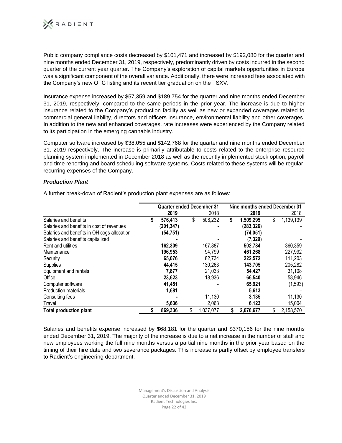

Public company compliance costs decreased by \$101,471 and increased by \$192,080 for the quarter and nine months ended December 31, 2019, respectively, predominantly driven by costs incurred in the second quarter of the current year quarter. The Company's exploration of capital markets opportunities in Europe was a significant component of the overall variance. Additionally, there were increased fees associated with the Company's new OTC listing and its recent tier graduation on the TSXV.

Insurance expense increased by \$57,359 and \$189,754 for the quarter and nine months ended December 31, 2019, respectively, compared to the same periods in the prior year. The increase is due to higher insurance related to the Company's production facility as well as new or expanded coverages related to commercial general liability, directors and officers insurance, environmental liability and other coverages. In addition to the new and enhanced coverages, rate increases were experienced by the Company related to its participation in the emerging cannabis industry.

Computer software increased by \$38,055 and \$142,768 for the quarter and nine months ended December 31, 2019 respectively. The increase is primarily attributable to costs related to the enterprise resource planning system implemented in December 2018 as well as the recently implemented stock option, payroll and time reporting and board scheduling software systems. Costs related to these systems will be regular, recurring expenses of the Company.

# *Production Plant*

|                                             |   | <b>Quarter ended December 31</b> |                 |    | Nine months ended December 31 |                 |
|---------------------------------------------|---|----------------------------------|-----------------|----|-------------------------------|-----------------|
|                                             |   | 2019                             | 2018            |    | 2019                          | 2018            |
| Salaries and benefits                       | S | 576,413                          | \$<br>508,232   | \$ | 1,509,295                     | \$<br>1,139,139 |
| Salaries and benefits in cost of revenues   |   | (201, 347)                       |                 |    | (283, 326)                    |                 |
| Salaries and benefits in OH cogs allocation |   | (54, 751)                        |                 |    | (74, 051)                     |                 |
| Salaries and benefits capitalized           |   |                                  |                 |    | (7, 329)                      |                 |
| Rent and utilities                          |   | 162,309                          | 167,887         |    | 502,784                       | 360,359         |
| Maintenance                                 |   | 196,953                          | 94,799          |    | 461,268                       | 227,992         |
| Security                                    |   | 65,076                           | 82,734          |    | 222,572                       | 111,203         |
| Supplies                                    |   | 44,415                           | 130,263         |    | 143,705                       | 205,282         |
| Equipment and rentals                       |   | 7,877                            | 21,033          |    | 54.427                        | 31,108          |
| Office                                      |   | 23,623                           | 18,936          |    | 66,540                        | 58,946          |
| Computer software                           |   | 41,451                           |                 |    | 65,921                        | (1, 593)        |
| <b>Production materials</b>                 |   | 1,681                            |                 |    | 5,613                         |                 |
| Consulting fees                             |   |                                  | 11,130          |    | 3,135                         | 11,130          |
| Travel                                      |   | 5,636                            | 2,063           |    | 6,123                         | 15,004          |
| <b>Total production plant</b>               |   | 869,336                          | \$<br>1,037,077 | S  | 2,676,677                     | \$<br>2,158,570 |

A further break-down of Radient's production plant expenses are as follows:

Salaries and benefits expense increased by \$68,181 for the quarter and \$370,156 for the nine months ended December 31, 2019. The majority of the increase is due to a net increase in the number of staff and new employees working the full nine months versus a partial nine months in the prior year based on the timing of their hire date and two severance packages. This increase is partly offset by employee transfers to Radient's engineering department.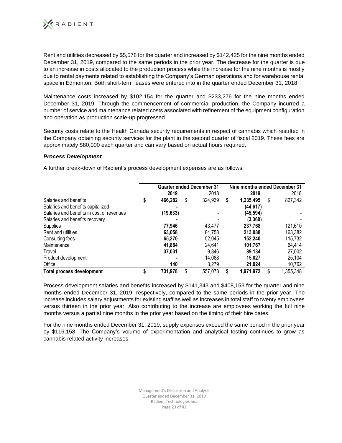

Rent and utilities decreased by \$5,578 for the quarter and increased by \$142,425 for the nine months ended December 31, 2019, compared to the same periods in the prior year. The decrease for the quarter is due to an increase in costs allocated to the production process while the increase for the nine months is mostly due to rental payments related to establishing the Company's German operations and for warehouse rental space in Edmonton. Both short-term leases were entered into in the quarter ended December 31, 2018.

Maintenance costs increased by \$102,154 for the quarter and \$233,276 for the nine months ended December 31, 2019. Through the commencement of commercial production, the Company incurred a number of service and maintenance related costs associated with refinement of the equipment configuration and operation as production scale-up progressed.

Security costs relate to the Health Canada security requirements in respect of cannabis which resulted in the Company obtaining security services for the plant in the second quarter of fiscal 2019. These fees are approximately \$80,000 each quarter and can vary based on actual hours required.

# *Process Development*

A further break-down of Radient's process development expenses are as follows:

|                                           |           | <b>Quarter ended December 31</b> |    | Nine months ended December 31 |    |           |
|-------------------------------------------|-----------|----------------------------------|----|-------------------------------|----|-----------|
|                                           | 2019      | 2018                             |    | 2019                          |    | 2018      |
| Salaries and benefits                     | 466,282   | \$<br>324,939                    | \$ | 1,235,495                     | \$ | 827,342   |
| Salaries and benefits capitalized         |           |                                  |    | (44, 617)                     |    |           |
| Salaries and benefits in cost of revenues | (19, 633) |                                  |    | (45, 594)                     |    |           |
| Salaries and benefits recovery            |           |                                  |    | (3, 360)                      |    |           |
| Supplies                                  | 77,946    | 43.477                           |    | 237,768                       |    | 121,610   |
| Rent and utilities                        | 63.058    | 84.758                           |    | 213.088                       |    | 163,382   |
| Consulting fees                           | 65.270    | 52.045                           |    | 152.240                       |    | 115,732   |
| Maintenance                               | 41.884    | 24.641                           |    | 101.767                       |    | 64,414    |
| Travel                                    | 37.031    | 9.846                            |    | 89.134                        |    | 27,002    |
| Product development                       |           | 14,088                           |    | 15.027                        |    | 25,104    |
| Office                                    | 140       | 3,279                            |    | 21,024                        |    | 10,762    |
| Total process development                 | 731,978   | 557,073                          | S  | 1,971,972                     | S  | 1,355,348 |

Process development salaries and benefits increased by \$141,343 and \$408,153 for the quarter and nine months ended December 31, 2019, respectively, compared to the same periods in the prior year. The increase includes salary adjustments for existing staff as well as increases in total staff to twenty employees versus thirteen in the prior year. Also contributing to the increase are employees working the full nine months versus a partial nine months in the prior year based on the timing of their hire dates.

For the nine months ended December 31, 2019, supply expenses exceed the same period in the prior year by \$116,158. The Company's volume of experimentation and analytical testing continues to grow as cannabis related activity increases.

> Management's Discussion and Analysis Quarter ended December 31, 2019 Radient Technologies Inc. Page 23 of 42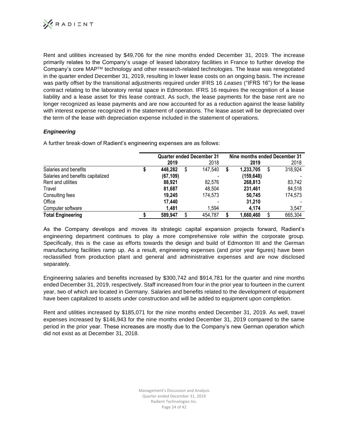

Rent and utilities increased by \$49,706 for the nine months ended December 31, 2019. The increase primarily relates to the Company's usage of leased laboratory facilities in France to further develop the Company's core MAPTM technology and other research-related technologies. The lease was renegotiated in the quarter ended December 31, 2019, resulting in lower lease costs on an ongoing basis. The increase was partly offset by the transitional adjustments required under IFRS 16 *Leases* ("IFRS 16") for the lease contract relating to the laboratory rental space in Edmonton. IFRS 16 requires the recognition of a lease liability and a lease asset for this lease contract. As such, the lease payments for the base rent are no longer recognized as lease payments and are now accounted for as a reduction against the lease liability with interest expense recognized in the statement of operations. The lease asset will be depreciated over the term of the lease with depreciation expense included in the statement of operations.

# *Engineering*

A further break-down of Radient's engineering expenses are as follows:

|                                   |           | <b>Quarter ended December 31</b> | Nine months ended December 31 |            |   |         |  |
|-----------------------------------|-----------|----------------------------------|-------------------------------|------------|---|---------|--|
|                                   | 2019      | 2018                             |                               | 2019       |   | 2018    |  |
| Salaries and benefits             | 448,282   | 147,540                          |                               | 1,233,705  | S | 318,924 |  |
| Salaries and benefits capitalized | (67, 109) |                                  |                               | (159, 648) |   |         |  |
| Rent and utilities                | 88.921    | 82,576                           |                               | 268,813    |   | 83,742  |  |
| Travel                            | 81,687    | 48.504                           |                               | 231,461    |   | 84,518  |  |
| Consulting fees                   | 19.245    | 174.573                          |                               | 50.745     |   | 174,573 |  |
| Office                            | 17.440    |                                  |                               | 31.210     |   |         |  |
| Computer software                 | 1.481     | 1.594                            |                               | 4.174      |   | 3,547   |  |
| <b>Total Engineering</b>          | 589,947   | 454,787                          |                               | 1,660,460  |   | 665,304 |  |

As the Company develops and moves its strategic capital expansion projects forward, Radient's engineering department continues to play a more comprehensive role within the corporate group. Specifically, this is the case as efforts towards the design and build of Edmonton III and the German manufacturing facilities ramp up. As a result, engineering expenses (and prior year figures) have been reclassified from production plant and general and administrative expenses and are now disclosed separately.

Engineering salaries and benefits increased by \$300,742 and \$914,781 for the quarter and nine months ended December 31, 2019, respectively. Staff increased from four in the prior year to fourteen in the current year, two of which are located in Germany. Salaries and benefits related to the development of equipment have been capitalized to assets under construction and will be added to equipment upon completion.

Rent and utilities increased by \$185,071 for the nine months ended December 31, 2019. As well, travel expenses increased by \$146,943 for the nine months ended December 31, 2019 compared to the same period in the prior year. These increases are mostly due to the Company's new German operation which did not exist as at December 31, 2018.

> Management's Discussion and Analysis Quarter ended December 31, 2019 Radient Technologies Inc. Page 24 of 42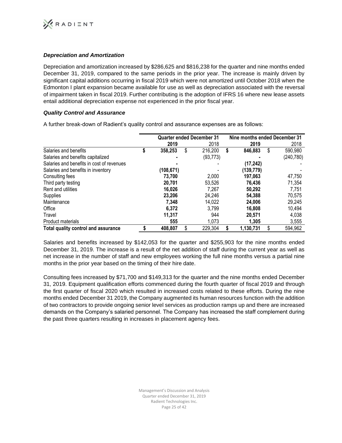

# *Depreciation and Amortization*

Depreciation and amortization increased by \$286,625 and \$816,238 for the quarter and nine months ended December 31, 2019, compared to the same periods in the prior year. The increase is mainly driven by significant capital additions occurring in fiscal 2019 which were not amortized until October 2018 when the Edmonton I plant expansion became available for use as well as depreciation associated with the reversal of impairment taken in fiscal 2019. Further contributing is the adoption of IFRS 16 where new lease assets entail additional depreciation expense not experienced in the prior fiscal year.

# *Quality Control and Assurance*

A further break-down of Radient's quality control and assurance expenses are as follows:

|                                           |   |           | <b>Quarter ended December 31</b> | Nine months ended December 31 |               |
|-------------------------------------------|---|-----------|----------------------------------|-------------------------------|---------------|
|                                           |   | 2019      | 2018                             | 2019                          | 2018          |
| Salaries and benefits                     | S | 358,253   | \$<br>216,200                    | \$<br>846,883                 | \$<br>590,980 |
| Salaries and benefits capitalized         |   |           | (93, 773)                        |                               | (240, 780)    |
| Salaries and benefits in cost of revenues |   |           |                                  | (17, 242)                     |               |
| Salaries and benefits in inventory        |   | (108,671) |                                  | (139,779)                     |               |
| Consulting fees                           |   | 73,700    | 2,000                            | 197,063                       | 47,750        |
| Third party testing                       |   | 20,701    | 53,526                           | 76.436                        | 71,354        |
| Rent and utilities                        |   | 16.026    | 7.267                            | 50,292                        | 7.751         |
| Supplies                                  |   | 23,206    | 24,246                           | 54,388                        | 70,575        |
| Maintenance                               |   | 7,348     | 14,022                           | 24.006                        | 29,245        |
| Office                                    |   | 6.372     | 3.799                            | 16,808                        | 10,494        |
| Travel                                    |   | 11,317    | 944                              | 20.571                        | 4,038         |
| <b>Product materials</b>                  |   | 555       | 1,073                            | 1,305                         | 3,555         |
| Total quality control and assurance       |   | 408.807   | 229,304                          | 1,130,731                     | 594,962       |

Salaries and benefits increased by \$142,053 for the quarter and \$255,903 for the nine months ended December 31, 2019. The increase is a result of the net addition of staff during the current year as well as net increase in the number of staff and new employees working the full nine months versus a partial nine months in the prior year based on the timing of their hire date.

Consulting fees increased by \$71,700 and \$149,313 for the quarter and the nine months ended December 31, 2019. Equipment qualification efforts commenced during the fourth quarter of fiscal 2019 and through the first quarter of fiscal 2020 which resulted in increased costs related to these efforts. During the nine months ended December 31 2019, the Company augmented its human resources function with the addition of two contractors to provide ongoing senior level services as production ramps up and there are increased demands on the Company's salaried personnel. The Company has increased the staff complement during the past three quarters resulting in increases in placement agency fees.

> Management's Discussion and Analysis Quarter ended December 31, 2019 Radient Technologies Inc. Page 25 of 42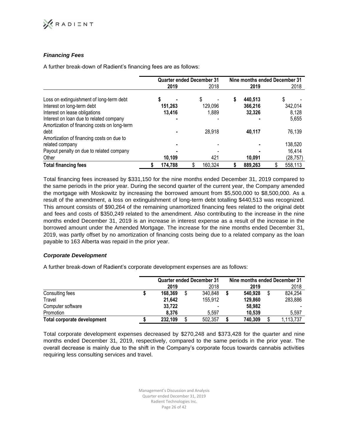

# *Financing Fees*

A further break-down of Radient's financing fees are as follows:

|                                              | <b>Quarter ended December 31</b> |         | Nine months ended December 31 |         |  |          |  |  |
|----------------------------------------------|----------------------------------|---------|-------------------------------|---------|--|----------|--|--|
|                                              | 2019                             | 2018    |                               | 2019    |  | 2018     |  |  |
| Loss on extinguishment of long-term debt     |                                  | \$      | S                             | 440,513 |  | \$       |  |  |
| Interest on long-term debt                   | 151.263                          | 129,096 |                               | 366,216 |  | 342,014  |  |  |
| Interest on lease obligations                | 13,416                           | 1.889   |                               | 32,326  |  | 8,128    |  |  |
| Interest on loan due to related company      |                                  |         |                               |         |  | 5,655    |  |  |
| Amortization of financing costs on long-term |                                  |         |                               |         |  |          |  |  |
| debt                                         |                                  | 28,918  |                               | 40,117  |  | 76,139   |  |  |
| Amortization of financing costs on due to    |                                  |         |                               |         |  |          |  |  |
| related company                              |                                  |         |                               |         |  | 138,520  |  |  |
| Payout penalty on due to related company     |                                  |         |                               |         |  | 16,414   |  |  |
| Other                                        | 10,109                           | 421     |                               | 10,091  |  | (28,757) |  |  |
| <b>Total financing fees</b>                  | 174,788                          | 160,324 |                               | 889.263 |  | 558,113  |  |  |

Total financing fees increased by \$331,150 for the nine months ended December 31, 2019 compared to the same periods in the prior year. During the second quarter of the current year, the Company amended the mortgage with Moskowitz by increasing the borrowed amount from \$5,500,000 to \$8,500,000. As a result of the amendment, a loss on extinguishment of long-term debt totalling \$440,513 was recognized. This amount consists of \$90,264 of the remaining unamortized financing fees related to the original debt and fees and costs of \$350,249 related to the amendment. Also contributing to the increase in the nine months ended December 31, 2019 is an increase in interest expense as a result of the increase in the borrowed amount under the Amended Mortgage. The increase for the nine months ended December 31, 2019, was partly offset by no amortization of financing costs being due to a related company as the loan payable to 163 Alberta was repaid in the prior year.

# *Corporate Development*

A further break-down of Radient's corporate development expenses are as follows:

|                             |         | <b>Quarter ended December 31</b> | Nine months ended December 31 |  |         |  |           |
|-----------------------------|---------|----------------------------------|-------------------------------|--|---------|--|-----------|
|                             | 2019    |                                  | 2018                          |  | 2019    |  | 2018      |
| Consulting fees             | 168.369 |                                  | 340,848                       |  | 540.928 |  | 824,254   |
| Travel                      | 21,642  |                                  | 155,912                       |  | 129,860 |  | 283,886   |
| Computer software           | 33.722  |                                  |                               |  | 58,982  |  |           |
| Promotion                   | 8.376   |                                  | 5.597                         |  | 10.539  |  | 5.597     |
| Total corporate development | 232,109 |                                  | 502.357                       |  | 740.309 |  | 1,113,737 |

Total corporate development expenses decreased by \$270,248 and \$373,428 for the quarter and nine months ended December 31, 2019, respectively, compared to the same periods in the prior year. The overall decrease is mainly due to the shift in the Company's corporate focus towards cannabis activities requiring less consulting services and travel.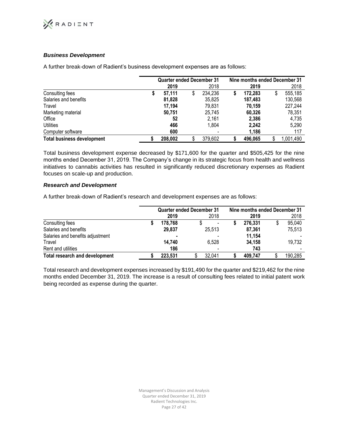

# *Business Development*

**Quarter ended December 31 Nine months ended December 31 2019** 2018 **2019** 2018 Consulting fees **\$ 57,111** \$ 234,236 **\$ 172,283** \$ 555,185 Salaries and benefits **81,828** 35,825 **187,483** 130,568 Travel **17,194** 79,831 **70,159** 227,244 Marketing material **50,751** 25,745 **60,326** 78,351 Office **52** 2,161 **2,386** 4,735 Utilities **466** 1,804 **2,242** 5,290 Computer software **600** - **1,186** 117 **Total business development \$ 208,002** \$ 379,602 **\$ 496,065** \$ 1,001,490

A further break-down of Radient's business development expenses are as follows:

Total business development expense decreased by \$171,600 for the quarter and \$505,425 for the nine months ended December 31, 2019. The Company's change in its strategic focus from health and wellness initiatives to cannabis activities has resulted in significantly reduced discretionary expenses as Radient focuses on scale-up and production.

# *Research and Development*

A further break-down of Radient's research and development expenses are as follows:

|                                       | <b>Quarter ended December 31</b> |        | Nine months ended December 31 |         |  |         |  |  |
|---------------------------------------|----------------------------------|--------|-------------------------------|---------|--|---------|--|--|
|                                       | 2019                             | 2018   |                               | 2019    |  | 2018    |  |  |
| Consulting fees                       | 178.768                          |        |                               | 276.331 |  | 95,040  |  |  |
| Salaries and benefits                 | 29,837                           | 25,513 |                               | 87,361  |  | 75,513  |  |  |
| Salaries and benefits adjustment      |                                  |        |                               | 11,154  |  |         |  |  |
| Travel                                | 14.740                           | 6.528  |                               | 34.158  |  | 19,732  |  |  |
| Rent and utilities                    | 186                              |        |                               | 743     |  |         |  |  |
| <b>Total research and development</b> | 223.531                          | 32.041 |                               | 409.747 |  | 190,285 |  |  |

Total research and development expenses increased by \$191,490 for the quarter and \$219,462 for the nine months ended December 31, 2019. The increase is a result of consulting fees related to initial patent work being recorded as expense during the quarter.

> Management's Discussion and Analysis Quarter ended December 31, 2019 Radient Technologies Inc. Page 27 of 42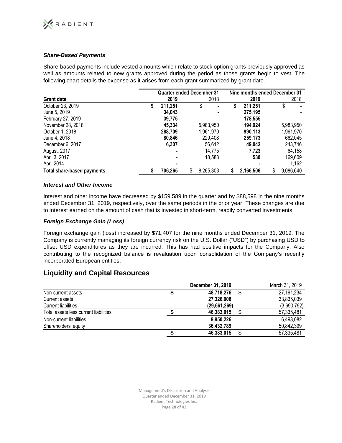# **XRADIENT**

# *Share-Based Payments*

Share-based payments include vested amounts which relate to stock option grants previously approved as well as amounts related to new grants approved during the period as those grants begin to vest. The following chart details the expense as it arises from each grant summarized by grant date.

|                            |    | <b>Quarter ended December 31</b> |                 | Nine months ended December 31 |           |    |           |  |
|----------------------------|----|----------------------------------|-----------------|-------------------------------|-----------|----|-----------|--|
| <b>Grant date</b>          |    | 2019                             | 2018            |                               | 2019      |    | 2018      |  |
| October 23, 2019           | J. | 211,251                          |                 | \$                            | 211,251   | \$ |           |  |
| June 5, 2019               |    | 34,043                           |                 |                               | 275,195   |    |           |  |
| February 27, 2019          |    | 39.775                           |                 |                               | 178,555   |    |           |  |
| November 28, 2018          |    | 45.334                           | 5,983,950       |                               | 194,924   |    | 5,983,950 |  |
| October 1, 2018            |    | 288.709                          | 1,961,970       |                               | 990,113   |    | 1,961,970 |  |
| June 4, 2018               |    | 80,846                           | 229,408         |                               | 259,173   |    | 662,045   |  |
| December 6, 2017           |    | 6,307                            | 56,612          |                               | 49,042    |    | 243,746   |  |
| August, 2017               |    | ۰                                | 14.775          |                               | 7,723     |    | 64,158    |  |
| April 3, 2017              |    |                                  | 18,588          |                               | 530       |    | 169,609   |  |
| April 2014                 |    | ٠                                |                 |                               |           |    | 1,162     |  |
| Total share-based payments |    | 706.265                          | \$<br>8,265,303 | S                             | 2,166,506 | \$ | 9,086,640 |  |

# *Interest and Other Income*

Interest and other income have decreased by \$159,589 in the quarter and by \$88,598 in the nine months ended December 31, 2019, respectively, over the same periods in the prior year. These changes are due to interest earned on the amount of cash that is invested in short-term, readily converted investments.

# *Foreign Exchange Gain (Loss)*

Foreign exchange gain (loss) increased by \$71,407 for the nine months ended December 31, 2019. The Company is currently managing its foreign currency risk on the U.S. Dollar ("USD") by purchasing USD to offset USD expenditures as they are incurred. This has had positive impacts for the Company. Also contributing to the recognized balance is revaluation upon consolidation of the Company's recently incorporated European entities.

# **Liquidity and Capital Resources**

|                                       | December 31, 2019 | March 31, 2019 |
|---------------------------------------|-------------------|----------------|
| Non-current assets                    | \$<br>48,718,276  | 27, 191, 234   |
| Current assets                        | 27,326,008        | 33,835,039     |
| <b>Current liabilities</b>            | (29,661,269)      | (3,690,792)    |
| Total assets less current liabilities | 46,383,015<br>S   | 57,335,481     |
| Non-current liabilities               | 9,950,226         | 6,493,082      |
| Shareholders' equity                  | 36,432,789        | 50,842,399     |
|                                       | \$<br>46,383,015  | 57,335,481     |

Management's Discussion and Analysis Quarter ended December 31, 2019 Radient Technologies Inc. Page 28 of 42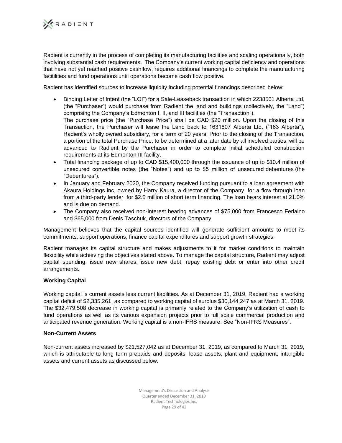

Radient is currently in the process of completing its manufacturing facilities and scaling operationally, both involving substantial cash requirements. The Company's current working capital deficiency and operations that have not yet reached positive cashflow, requires additional financings to complete the manufacturing facitilities and fund operations until operations become cash flow positive.

Radient has identified sources to increase liquidity including potential financings described below:

- Binding Letter of Intent (the "LOI") for a Sale-Leaseback transaction in which 2238501 Alberta Ltd. (the "Purchaser") would purchase from Radient the land and buildings (collectively, the "Land") comprising the Company's Edmonton I, II, and III facilities (the "Transaction"). The purchase price (the "Purchase Price") shall be CAD \$20 million. Upon the closing of this Transaction, the Purchaser will lease the Land back to 1631807 Alberta Ltd. ("163 Alberta"), Radient's wholly owned subsidiary, for a term of 20 years. Prior to the closing of the Transaction, a portion of the total Purchase Price, to be determined at a later date by all involved parties, will be advanced to Radient by the Purchaser in order to complete initial scheduled construction requirements at its Edmonton III facility.
- Total financing package of up to CAD \$15,400,000 through the issuance of up to \$10.4 million of unsecured convertible notes (the "Notes") and up to \$5 million of unsecured debentures (the "Debentures").
- In January and February 2020, the Company received funding pursuant to a loan agreement with Akaura Holdings inc, owned by Harry Kaura, a director of the Company, for a flow through loan from a third-party lender for \$2.5 million of short term financing. The loan bears interest at 21.0% and is due on demand.
- The Company also received non-interest bearing advances of \$75,000 from Francesco Ferlaino and \$65,000 from Denis Taschuk, directors of the Company.

Management believes that the capital sources identified will generate sufficient amounts to meet its commitments, support operations, finance capital expenditures and support growth strategies.

Radient manages its capital structure and makes adjustments to it for market conditions to maintain flexibility while achieving the objectives stated above. To manage the capital structure, Radient may adjust capital spending, issue new shares, issue new debt, repay existing debt or enter into other credit arrangements.

# **Working Capital**

Working capital is current assets less current liabilities. As at December 31, 2019, Radient had a working capital deficit of \$2,335,261, as compared to working capital of surplus \$30,144,247 as at March 31, 2019. The \$32,479,508 decrease in working capital is primarily related to the Company's utilization of cash to fund operations as well as its various expansion projects prior to full scale commercial production and anticipated revenue generation. Working capital is a non-IFRS measure. See "Non-IFRS Measures".

# **Non-Current Assets**

Non-current assets increased by \$21,527,042 as at December 31, 2019, as compared to March 31, 2019, which is attributable to long term prepaids and deposits, lease assets, plant and equipment, intangible assets and current assets as discussed below.

> Management's Discussion and Analysis Quarter ended December 31, 2019 Radient Technologies Inc. Page 29 of 42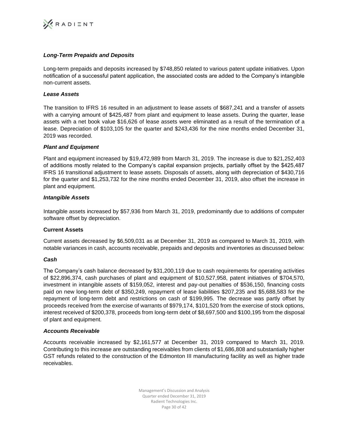

# *Long-Term Prepaids and Deposits*

Long-term prepaids and deposits increased by \$748,850 related to various patent update initiatives. Upon notification of a successful patent application, the associated costs are added to the Company's intangible non-current assets.

### *Lease Assets*

The transition to IFRS 16 resulted in an adjustment to lease assets of \$687,241 and a transfer of assets with a carrying amount of \$425,487 from plant and equipment to lease assets. During the quarter, lease assets with a net book value \$16,626 of lease assets were eliminated as a result of the termination of a lease. Depreciation of \$103,105 for the quarter and \$243,436 for the nine months ended December 31, 2019 was recorded.

### *Plant and Equipment*

Plant and equipment increased by \$19,472,989 from March 31, 2019. The increase is due to \$21,252,403 of additions mostly related to the Company's capital expansion projects, partially offset by the \$425,487 IFRS 16 transitional adjustment to lease assets. Disposals of assets, along with depreciation of \$430,716 for the quarter and \$1,253,732 for the nine months ended December 31, 2019, also offset the increase in plant and equipment.

### *Intangible Assets*

Intangible assets increased by \$57,936 from March 31, 2019, predominantly due to additions of computer software offset by depreciation.

# **Current Assets**

Current assets decreased by \$6,509,031 as at December 31, 2019 as compared to March 31, 2019, with notable variances in cash, accounts receivable, prepaids and deposits and inventories as discussed below:

#### *Cash*

The Company's cash balance decreased by \$31,200,119 due to cash requirements for operating activities of \$22,896,374, cash purchases of plant and equipment of \$10,527,958, patent initiatives of \$704,570, investment in intangible assets of \$159,052, interest and pay-out penalties of \$536,150, financing costs paid on new long-term debt of \$350,249, repayment of lease liabilities \$207,235 and \$5,688,583 for the repayment of long-term debt and restrictions on cash of \$199,995. The decrease was partly offset by proceeds received from the exercise of warrants of \$979,174, \$101,520 from the exercise of stock options, interest received of \$200,378, proceeds from long-term debt of \$8,697,500 and \$100,195 from the disposal of plant and equipment.

#### *Accounts Receivable*

Accounts receivable increased by \$2,161,577 at December 31, 2019 compared to March 31, 2019. Contributing to this increase are outstanding receivables from clients of \$1,686,808 and substantially higher GST refunds related to the construction of the Edmonton III manufacturing facility as well as higher trade receivables.

> Management's Discussion and Analysis Quarter ended December 31, 2019 Radient Technologies Inc. Page 30 of 42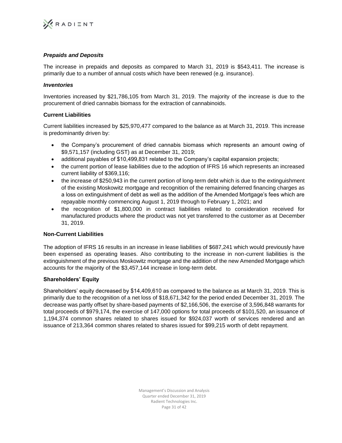

# *Prepaids and Deposits*

The increase in prepaids and deposits as compared to March 31, 2019 is \$543,411. The increase is primarily due to a number of annual costs which have been renewed (e.g. insurance).

# *Inventories*

Inventories increased by \$21,786,105 from March 31, 2019. The majority of the increase is due to the procurement of dried cannabis biomass for the extraction of cannabinoids.

# **Current Liabilities**

Current liabilities increased by \$25,970,477 compared to the balance as at March 31, 2019. This increase is predominantly driven by:

- the Company's procurement of dried cannabis biomass which represents an amount owing of \$9,571,157 (including GST) as at December 31, 2019;
- additional payables of \$10,499,831 related to the Company's capital expansion projects;
- the current portion of lease liabilities due to the adoption of IFRS 16 which represents an increased current liability of \$369,116;
- the increase of \$250,943 in the current portion of long-term debt which is due to the extinguishment of the existing Moskowitz mortgage and recognition of the remaining deferred financing charges as a loss on extinguishment of debt as well as the addition of the Amended Mortgage's fees which are repayable monthly commencing August 1, 2019 through to February 1, 2021; and
- the recognition of \$1,800,000 in contract liabilities related to consideration received for manufactured products where the product was not yet transferred to the customer as at December 31, 2019.

# **Non-Current Liabilities**

The adoption of IFRS 16 results in an increase in lease liabilities of \$687,241 which would previously have been expensed as operating leases. Also contributing to the increase in non-current liabilities is the extinguishment of the previous Moskowitz mortgage and the addition of the new Amended Mortgage which accounts for the majority of the \$3,457,144 increase in long-term debt.

# **Shareholders' Equity**

Shareholders' equity decreased by \$14,409,610 as compared to the balance as at March 31, 2019. This is primarily due to the recognition of a net loss of \$18,671,342 for the period ended December 31, 2019. The decrease was partly offset by share-based payments of \$2,166,506, the exercise of 3,596,848 warrants for total proceeds of \$979,174, the exercise of 147,000 options for total proceeds of \$101,520, an issuance of 1,194,374 common shares related to shares issued for \$924,037 worth of services rendered and an issuance of 213,364 common shares related to shares issued for \$99,215 worth of debt repayment.

> Management's Discussion and Analysis Quarter ended December 31, 2019 Radient Technologies Inc. Page 31 of 42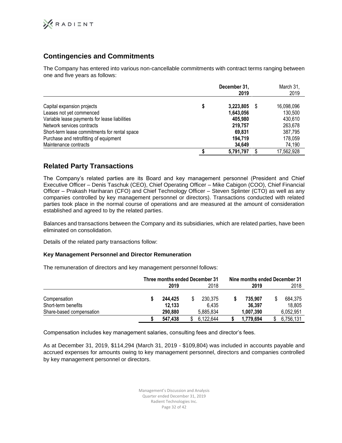

# **Contingencies and Commitments**

The Company has entered into various non-cancellable commitments with contract terms ranging between one and five years as follows:

|                                               |   | December 31,<br>2019 | March 31,<br>2019 |
|-----------------------------------------------|---|----------------------|-------------------|
| Capital expansion projects                    | S | 3.223.805            | 16,098,096        |
| Leases not yet commenced                      |   | 1,643,056            | 130,500           |
| Variable lease payments for lease liabilities |   | 405.980              | 430.610           |
| Network services contracts                    |   | 219.757              | 263,678           |
| Short-term lease commitments for rental space |   | 69.831               | 387.795           |
| Purchase and retrofitting of equipment        |   | 194.719              | 178.059           |
| Maintenance contracts                         |   | 34.649               | 74,190            |
|                                               |   | 5,791,797            | 17,562,928        |

# **Related Party Transactions**

The Company's related parties are its Board and key management personnel (President and Chief Executive Officer – Denis Taschuk (CEO), Chief Operating Officer – Mike Cabigon (COO), Chief Financial Officer – Prakash Hariharan (CFO) and Chief Technology Officer – Steven Splinter (CTO) as well as any companies controlled by key management personnel or directors). Transactions conducted with related parties took place in the normal course of operations and are measured at the amount of consideration established and agreed to by the related parties.

Balances and transactions between the Company and its subsidiaries, which are related parties, have been eliminated on consolidation.

Details of the related party transactions follow:

# **Key Management Personnel and Director Remuneration**

The remuneration of directors and key management personnel follows:

|                                     | 2019              | Three months ended December 31<br>2018 |                  | 2019              | Nine months ended December 31<br>2018 |                   |
|-------------------------------------|-------------------|----------------------------------------|------------------|-------------------|---------------------------------------|-------------------|
| Compensation<br>Short-term benefits | 244.425<br>12.133 |                                        | 230.375<br>6.435 | 735.907<br>36,397 |                                       | 684.375<br>18.805 |
| Share-based compensation            | 290,880           |                                        | 5.885.834        | 1,007,390         |                                       | 6,052,951         |
|                                     | 547.438           |                                        | 6.122.644        | 1,779,694         |                                       | 6,756,131         |

Compensation includes key management salaries, consulting fees and director's fees.

As at December 31, 2019, \$114,294 (March 31, 2019 - \$109,804) was included in accounts payable and accrued expenses for amounts owing to key management personnel, directors and companies controlled by key management personnel or directors.

> Management's Discussion and Analysis Quarter ended December 31, 2019 Radient Technologies Inc. Page 32 of 42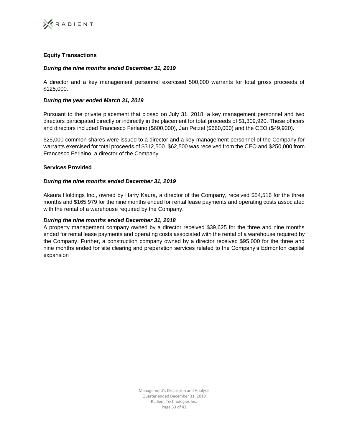

# **Equity Transactions**

# *During the nine months ended December 31, 2019*

A director and a key management personnel exercised 500,000 warrants for total gross proceeds of \$125,000.

# *During the year ended March 31, 2019*

Pursuant to the private placement that closed on July 31, 2018, a key management personnel and two directors participated directly or indirectly in the placement for total proceeds of \$1,309,920. These officers and directors included Francesco Ferlaino (\$600,000), Jan Petzel (\$660,000) and the CEO (\$49,920).

625,000 common shares were issued to a director and a key management personnel of the Company for warrants exercised for total proceeds of \$312,500. \$62,500 was received from the CEO and \$250,000 from Francesco Ferlaino, a director of the Company.

# **Services Provided**

# *During the nine months ended December 31, 2019*

Akaura Holdings Inc., owned by Harry Kaura, a director of the Company, received \$54,516 for the three months and \$165,979 for the nine months ended for rental lease payments and operating costs associated with the rental of a warehouse required by the Company.

### *During the nine months ended December 31, 2018*

A property management company owned by a director received \$39,625 for the three and nine months ended for rental lease payments and operating costs associated with the rental of a warehouse required by the Company. Further, a construction company owned by a director received \$95,000 for the three and nine months ended for site clearing and preparation services related to the Company's Edmonton capital expansion

> Management's Discussion and Analysis Quarter ended December 31, 2019 Radient Technologies Inc. Page 33 of 42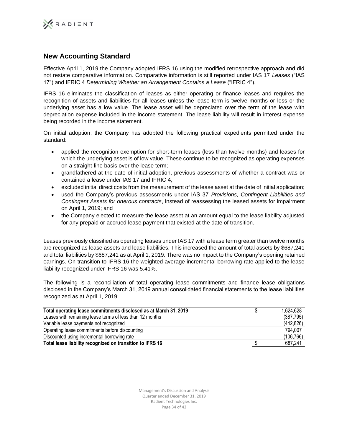

# **New Accounting Standard**

Effective April 1, 2019 the Company adopted IFRS 16 using the modified retrospective approach and did not restate comparative information. Comparative information is still reported under IAS 17 *Leases* ("IAS 17") and IFRIC 4 *Determining Whether an Arrangement Contains a Lease* ("IFRIC 4").

IFRS 16 eliminates the classification of leases as either operating or finance leases and requires the recognition of assets and liabilities for all leases unless the lease term is twelve months or less or the underlying asset has a low value. The lease asset will be depreciated over the term of the lease with depreciation expense included in the income statement. The lease liability will result in interest expense being recorded in the income statement.

On initial adoption, the Company has adopted the following practical expedients permitted under the standard:

- applied the recognition exemption for short-term leases (less than twelve months) and leases for which the underlying asset is of low value. These continue to be recognized as operating expenses on a straight-line basis over the lease term;
- grandfathered at the date of initial adoption, previous assessments of whether a contract was or contained a lease under IAS 17 and IFRIC 4;
- excluded initial direct costs from the measurement of the lease asset at the date of initial application;
- used the Company's previous assessments under IAS 37 *Provisions, Contingent Liabilities and Contingent Assets for onerous contracts*, instead of reassessing the leased assets for impairment on April 1, 2019; and
- the Company elected to measure the lease asset at an amount equal to the lease liability adjusted for any prepaid or accrued lease payment that existed at the date of transition.

Leases previously classified as operating leases under IAS 17 with a lease term greater than twelve months are recognized as lease assets and lease liabilities. This increased the amount of total assets by \$687,241 and total liabilities by \$687,241 as at April 1, 2019. There was no impact to the Company's opening retained earnings. On transition to IFRS 16 the weighted average incremental borrowing rate applied to the lease liability recognized under IFRS 16 was 5.41%.

The following is a reconciliation of total operating lease commitments and finance lease obligations disclosed in the Company's March 31, 2019 annual consolidated financial statements to the lease liabilities recognized as at April 1, 2019:

| Total operating lease commitments disclosed as at March 31, 2019 | 1.624.628  |
|------------------------------------------------------------------|------------|
| Leases with remaining lease terms of less than 12 months         | (387, 795) |
| Variable lease payments not recognized                           | (442, 826) |
| Operating lease commitments before discounting                   | 794.007    |
| Discounted using incremental borrowing rate                      | (106, 766) |
| Total lease liability recognized on transition to IFRS 16        | 687,241    |

Management's Discussion and Analysis Quarter ended December 31, 2019 Radient Technologies Inc. Page 34 of 42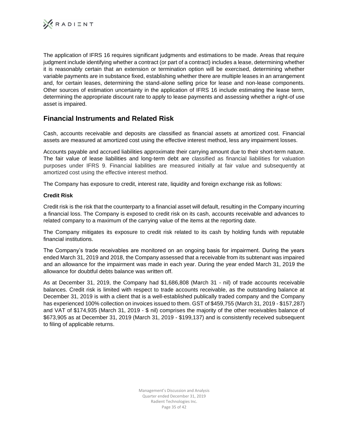

The application of IFRS 16 requires significant judgments and estimations to be made. Areas that require judgment include identifying whether a contract (or part of a contract) includes a lease, determining whether it is reasonably certain that an extension or termination option will be exercised, determining whether variable payments are in substance fixed, establishing whether there are multiple leases in an arrangement and, for certain leases, determining the stand-alone selling price for lease and non-lease components. Other sources of estimation uncertainty in the application of IFRS 16 include estimating the lease term, determining the appropriate discount rate to apply to lease payments and assessing whether a right-of use asset is impaired.

# **Financial Instruments and Related Risk**

Cash, accounts receivable and deposits are classified as financial assets at amortized cost. Financial assets are measured at amortized cost using the effective interest method, less any impairment losses.

Accounts payable and accrued liabilities approximate their carrying amount due to their short-term nature. The fair value of lease liabilities and long-term debt are classified as financial liabilities for valuation purposes under IFRS 9. Financial liabilities are measured initially at fair value and subsequently at amortized cost using the effective interest method.

The Company has exposure to credit, interest rate, liquidity and foreign exchange risk as follows:

# **Credit Risk**

Credit risk is the risk that the counterparty to a financial asset will default, resulting in the Company incurring a financial loss. The Company is exposed to credit risk on its cash, accounts receivable and advances to related company to a maximum of the carrying value of the items at the reporting date.

The Company mitigates its exposure to credit risk related to its cash by holding funds with reputable financial institutions.

The Company's trade receivables are monitored on an ongoing basis for impairment. During the years ended March 31, 2019 and 2018, the Company assessed that a receivable from its subtenant was impaired and an allowance for the impairment was made in each year. During the year ended March 31, 2019 the allowance for doubtful debts balance was written off.

As at December 31, 2019, the Company had \$1,686,808 (March 31 - nil) of trade accounts receivable balances. Credit risk is limited with respect to trade accounts receivable, as the outstanding balance at December 31, 2019 is with a client that is a well-established publically traded company and the Company has experienced 100% collection on invoices issued to them. GST of \$459,755 (March 31, 2019 - \$157,287) and VAT of \$174,935 (March 31, 2019 - \$ nil) comprises the majority of the other receivables balance of \$673,905 as at December 31, 2019 (March 31, 2019 - \$199,137) and is consistently received subsequent to filing of applicable returns.

> Management's Discussion and Analysis Quarter ended December 31, 2019 Radient Technologies Inc. Page 35 of 42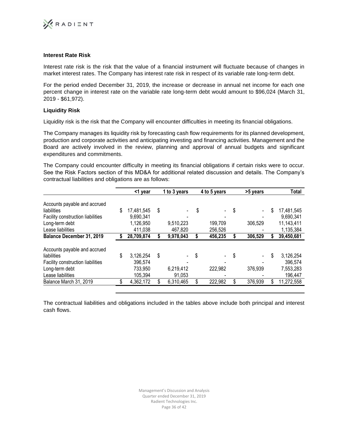

# **Interest Rate Risk**

Interest rate risk is the risk that the value of a financial instrument will fluctuate because of changes in market interest rates. The Company has interest rate risk in respect of its variable rate long-term debt.

For the period ended December 31, 2019, the increase or decrease in annual net income for each one percent change in interest rate on the variable rate long-term debt would amount to \$96,024 (March 31, 2019 - \$61,972).

### **Liquidity Risk**

Liquidity risk is the risk that the Company will encounter difficulties in meeting its financial obligations.

The Company manages its liquidity risk by forecasting cash flow requirements for its planned development, production and corporate activities and anticipating investing and financing activities. Management and the Board are actively involved in the review, planning and approval of annual budgets and significant expenditures and commitments.

The Company could encounter difficulty in meeting its financial obligations if certain risks were to occur. See the Risk Factors section of this MD&A for additional related discussion and details. The Company's contractual liabilities and obligations are as follows:

|                                   | <1 year          |    | 1 to 3 years | 4 to 5 years  | >5 years      | Total            |
|-----------------------------------|------------------|----|--------------|---------------|---------------|------------------|
| Accounts payable and accrued      |                  |    |              |               |               |                  |
| liabilities                       | \$<br>17,481,545 | S  |              | \$            | \$<br>$\sim$  | \$<br>17,481,545 |
| Facility construction liabilities | 9,690,341        |    |              |               |               | 9,690,341        |
| Long-term debt                    | 1,126,950        |    | 9,510,223    | 199,709       | 306,529       | 11,143,411       |
| Lease liabilities                 | 411,038          |    | 467,820      | 256,526       |               | 1,135,384        |
| Balance December 31, 2019         | 28,709,874       |    | 9,978,043    | 456,235       | 306,529       | 39,450,681       |
| Accounts payable and accrued      |                  |    |              |               |               |                  |
| liabilities                       | \$<br>3,126,254  | \$ |              | \$            | \$            | \$<br>3,126,254  |
| Facility construction liabilities | 396,574          |    |              |               |               | 396,574          |
| Long-term debt                    | 733,950          |    | 6,219,412    | 222,982       | 376,939       | 7,553,283        |
| Lease liabilities                 | 105,394          |    | 91,053       |               |               | 196,447          |
| Balance March 31, 2019            | \$<br>4,362,172  |    | 6,310,465    | \$<br>222,982 | \$<br>376,939 | \$<br>11,272,558 |
|                                   |                  |    |              |               |               |                  |

The contractual liabilities and obligations included in the tables above include both principal and interest cash flows.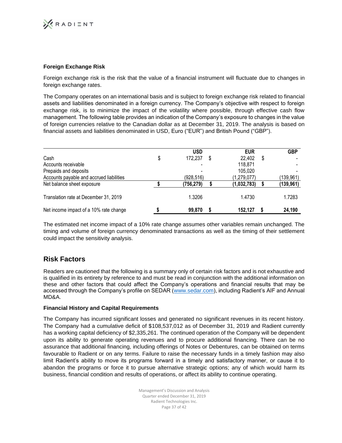

# **Foreign Exchange Risk**

Foreign exchange risk is the risk that the value of a financial instrument will fluctuate due to changes in foreign exchange rates.

The Company operates on an international basis and is subject to foreign exchange risk related to financial assets and liabilities denominated in a foreign currency. The Company's objective with respect to foreign exchange risk, is to minimize the impact of the volatility where possible, through effective cash flow management. The following table provides an indication of the Company's exposure to changes in the value of foreign currencies relative to the Canadian dollar as at December 31, 2019. The analysis is based on financial assets and liabilities denominated in USD, Euro ("EUR") and British Pound ("GBP").

|                                          | <b>USD</b>    | <b>EUR</b>   | <b>GBP</b> |
|------------------------------------------|---------------|--------------|------------|
| Cash                                     | \$<br>172,237 | \$<br>22,402 | \$         |
| Accounts receivable                      |               | 118,871      |            |
| Prepaids and deposits                    |               | 105,020      |            |
| Accounts payable and accrued liabilities | (928,516)     | (1,279,077)  | (139, 961) |
| Net balance sheet exposure               | (756,279)     | (1,032,783)  | (139, 961) |
| Translation rate at December 31, 2019    | 1.3206        | 1.4730       | 1.7283     |
| Net income impact of a 10% rate change   | 99,870        | 152.127      | 24,190     |

The estimated net income impact of a 10% rate change assumes other variables remain unchanged. The timing and volume of foreign currency denominated transactions as well as the timing of their settlement could impact the sensitivity analysis.

# **Risk Factors**

Readers are cautioned that the following is a summary only of certain risk factors and is not exhaustive and is qualified in its entirety by reference to and must be read in conjunction with the additional information on these and other factors that could affect the Company's operations and financial results that may be accessed through the Company's profile on SEDAR (www.sedar.com), including Radient's AIF and Annual MD&A.

# **Financial History and Capital Requirements**

The Company has incurred significant losses and generated no significant revenues in its recent history. The Company had a cumulative deficit of \$108,537,012 as of December 31, 2019 and Radient currently has a working capital deficiency of \$2,335,261. The continued operation of the Company will be dependent upon its ability to generate operating revenues and to procure additional financing. There can be no assurance that additional financing, including offerings of Notes or Debentures, can be obtained on terms favourable to Radient or on any terms. Failure to raise the necessary funds in a timely fashion may also limit Radient's ability to move its programs forward in a timely and satisfactory manner, or cause it to abandon the programs or force it to pursue alternative strategic options; any of which would harm its business, financial condition and results of operations, or affect its ability to continue operating.

> Management's Discussion and Analysis Quarter ended December 31, 2019 Radient Technologies Inc. Page 37 of 42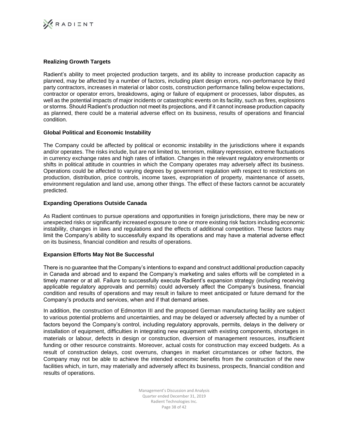

# **Realizing Growth Targets**

Radient's ability to meet projected production targets, and its ability to increase production capacity as planned, may be affected by a number of factors, including plant design errors, non-performance by third party contractors, increases in material or labor costs, construction performance falling below expectations, contractor or operator errors, breakdowns, aging or failure of equipment or processes, labor disputes, as well as the potential impacts of major incidents or catastrophic events on its facility, such as fires, explosions or storms. Should Radient's production not meet its projections, and if it cannot increase production capacity as planned, there could be a material adverse effect on its business, results of operations and financial condition.

# **Global Political and Economic Instability**

The Company could be affected by political or economic instability in the jurisdictions where it expands and/or operates. The risks include, but are not limited to, terrorism, military repression, extreme fluctuations in currency exchange rates and high rates of inflation. Changes in the relevant regulatory environments or shifts in political attitude in countries in which the Company operates may adversely affect its business. Operations could be affected to varying degrees by government regulation with respect to restrictions on production, distribution, price controls, income taxes, expropriation of property, maintenance of assets, environment regulation and land use, among other things. The effect of these factors cannot be accurately predicted.

# **Expanding Operations Outside Canada**

As Radient continues to pursue operations and opportunities in foreign jurisdictions, there may be new or unexpected risks or significantly increased exposure to one or more existing risk factors including economic instability, changes in laws and regulations and the effects of additional competition. These factors may limit the Company's ability to successfully expand its operations and may have a material adverse effect on its business, financial condition and results of operations.

# **Expansion Efforts May Not Be Successful**

There is no guarantee that the Company's intentions to expand and construct additional production capacity in Canada and abroad and to expand the Company's marketing and sales efforts will be completed in a timely manner or at all. Failure to successfully execute Radient's expansion strategy (including receiving applicable regulatory approvals and permits) could adversely affect the Company's business, financial condition and results of operations and may result in failure to meet anticipated or future demand for the Company's products and services, when and if that demand arises.

In addition, the construction of Edmonton III and the proposed German manufacturing facility are subject to various potential problems and uncertainties, and may be delayed or adversely affected by a number of factors beyond the Company's control, including regulatory approvals, permits, delays in the delivery or installation of equipment, difficulties in integrating new equipment with existing components, shortages in materials or labour, defects in design or construction, diversion of management resources, insufficient funding or other resource constraints. Moreover, actual costs for construction may exceed budgets. As a result of construction delays, cost overruns, changes in market circumstances or other factors, the Company may not be able to achieve the intended economic benefits from the construction of the new facilities which, in turn, may materially and adversely affect its business, prospects, financial condition and results of operations.

> Management's Discussion and Analysis Quarter ended December 31, 2019 Radient Technologies Inc. Page 38 of 42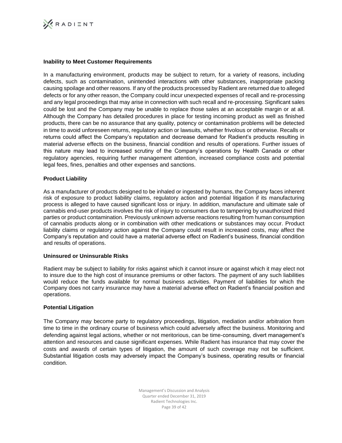

# **Inability to Meet Customer Requirements**

In a manufacturing environment, products may be subject to return, for a variety of reasons, including defects, such as contamination, unintended interactions with other substances, inappropriate packing causing spoilage and other reasons. If any of the products processed by Radient are returned due to alleged defects or for any other reason, the Company could incur unexpected expenses of recall and re-processing and any legal proceedings that may arise in connection with such recall and re-processing. Significant sales could be lost and the Company may be unable to replace those sales at an acceptable margin or at all. Although the Company has detailed procedures in place for testing incoming product as well as finished products, there can be no assurance that any quality, potency or contamination problems will be detected in time to avoid unforeseen returns, regulatory action or lawsuits, whether frivolous or otherwise. Recalls or returns could affect the Company's reputation and decrease demand for Radient's products resulting in material adverse effects on the business, financial condition and results of operations. Further issues of this nature may lead to increased scrutiny of the Company's operations by Health Canada or other regulatory agencies, requiring further management attention, increased compliance costs and potential legal fees, fines, penalties and other expenses and sanctions.

# **Product Liability**

As a manufacturer of products designed to be inhaled or ingested by humans, the Company faces inherent risk of exposure to product liability claims, regulatory action and potential litigation if its manufacturing process is alleged to have caused significant loss or injury. In addition, manufacture and ultimate sale of cannabis end-user products involves the risk of injury to consumers due to tampering by unauthorized third parties or product contamination. Previously unknown adverse reactions resulting from human consumption of cannabis products along or in combination with other medications or substances may occur. Product liability claims or regulatory action against the Company could result in increased costs, may affect the Company's reputation and could have a material adverse effect on Radient's business, financial condition and results of operations.

#### **Uninsured or Uninsurable Risks**

Radient may be subject to liability for risks against which it cannot insure or against which it may elect not to insure due to the high cost of insurance premiums or other factors. The payment of any such liabilities would reduce the funds available for normal business activities. Payment of liabilities for which the Company does not carry insurance may have a material adverse effect on Radient's financial position and operations.

#### **Potential Litigation**

The Company may become party to regulatory proceedings, litigation, mediation and/or arbitration from time to time in the ordinary course of business which could adversely affect the business. Monitoring and defending against legal actions, whether or not meritorious, can be time-consuming, divert management's attention and resources and cause significant expenses. While Radient has insurance that may cover the costs and awards of certain types of litigation, the amount of such coverage may not be sufficient. Substantial litigation costs may adversely impact the Company's business, operating results or financial condition.

> Management's Discussion and Analysis Quarter ended December 31, 2019 Radient Technologies Inc. Page 39 of 42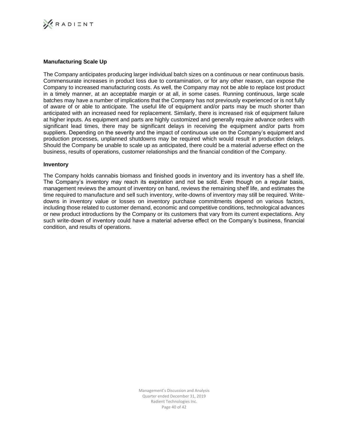

### **Manufacturing Scale Up**

The Company anticipates producing larger individual batch sizes on a continuous or near continuous basis. Commensurate increases in product loss due to contamination, or for any other reason, can expose the Company to increased manufacturing costs. As well, the Company may not be able to replace lost product in a timely manner, at an acceptable margin or at all, in some cases. Running continuous, large scale batches may have a number of implications that the Company has not previously experienced or is not fully of aware of or able to anticipate. The useful life of equipment and/or parts may be much shorter than anticipated with an increased need for replacement. Similarly, there is increased risk of equipment failure at higher inputs. As equipment and parts are highly customized and generally require advance orders with significant lead times, there may be significant delays in receiving the equipment and/or parts from suppliers. Depending on the severity and the impact of continuous use on the Company's equipment and production processes, unplanned shutdowns may be required which would result in production delays. Should the Company be unable to scale up as anticipated, there could be a material adverse effect on the business, results of operations, customer relationships and the financial condition of the Company.

#### **Inventory**

The Company holds cannabis biomass and finished goods in inventory and its inventory has a shelf life. The Company's inventory may reach its expiration and not be sold. Even though on a regular basis, management reviews the amount of inventory on hand, reviews the remaining shelf life, and estimates the time required to manufacture and sell such inventory, write-downs of inventory may still be required. Writedowns in inventory value or losses on inventory purchase commitments depend on various factors, including those related to customer demand, economic and competitive conditions, technological advances or new product introductions by the Company or its customers that vary from its current expectations. Any such write-down of inventory could have a material adverse effect on the Company's business, financial condition, and results of operations.

> Management's Discussion and Analysis Quarter ended December 31, 2019 Radient Technologies Inc. Page 40 of 42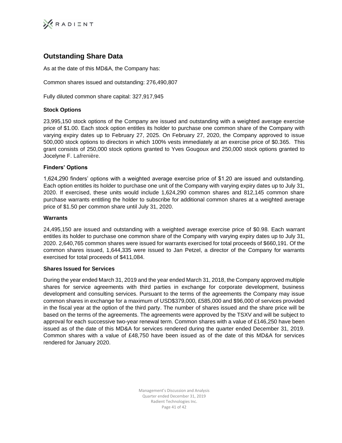

# **Outstanding Share Data**

As at the date of this MD&A, the Company has:

Common shares issued and outstanding: 276,490,807

Fully diluted common share capital: 327,917,945

# **Stock Options**

23,995,150 stock options of the Company are issued and outstanding with a weighted average exercise price of \$1.00. Each stock option entitles its holder to purchase one common share of the Company with varying expiry dates up to February 27, 2025. On February 27, 2020, the Company approved to issue 500,000 stock options to directors in which 100% vests immediately at an exercise price of \$0.365. This grant consists of 250,000 stock options granted to Yves Gougoux and 250,000 stock options granted to Jocelyne F. Lafrenière.

# **Finders' Options**

1,624,290 finders' options with a weighted average exercise price of \$1.20 are issued and outstanding. Each option entitles its holder to purchase one unit of the Company with varying expiry dates up to July 31, 2020. If exercised, these units would include 1,624,290 common shares and 812,145 common share purchase warrants entitling the holder to subscribe for additional common shares at a weighted average price of \$1.50 per common share until July 31, 2020.

# **Warrants**

24,495,150 are issued and outstanding with a weighted average exercise price of \$0.98. Each warrant entitles its holder to purchase one common share of the Company with varying expiry dates up to July 31, 2020. 2,640,765 common shares were issued for warrants exercised for total proceeds of \$660,191. Of the common shares issued, 1,644,335 were issued to Jan Petzel, a director of the Company for warrants exercised for total proceeds of \$411,084.

# **Shares Issued for Services**

During the year ended March 31, 2019 and the year ended March 31, 2018, the Company approved multiple shares for service agreements with third parties in exchange for corporate development, business development and consulting services. Pursuant to the terms of the agreements the Company may issue common shares in exchange for a maximum of USD\$379,000, £585,000 and \$96,000 of services provided in the fiscal year at the option of the third party. The number of shares issued and the share price will be based on the terms of the agreements. The agreements were approved by the TSXV and will be subject to approval for each successive two-year renewal term. Common shares with a value of £146,250 have been issued as of the date of this MD&A for services rendered during the quarter ended December 31, 2019. Common shares with a value of £48,750 have been issued as of the date of this MD&A for services rendered for January 2020.

> Management's Discussion and Analysis Quarter ended December 31, 2019 Radient Technologies Inc. Page 41 of 42